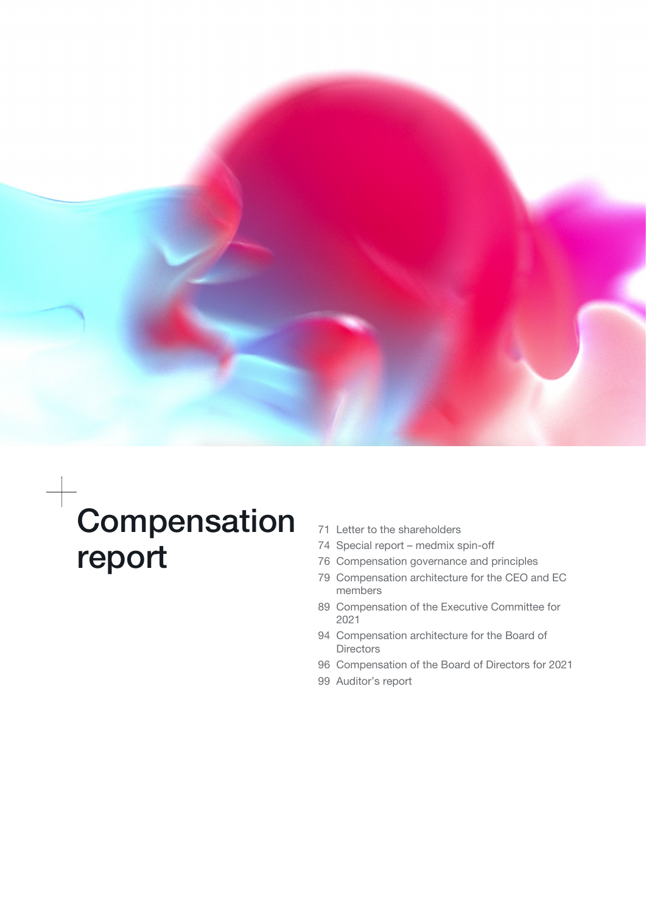

# Compensation report

- [71 Letter to the shareholders](#page-1-0)
- [74 Special report medmix spin-off](#page-4-0)
- [76 Compensation governance and principles](#page-6-0)
- [79 Compensation architecture for the CEO and EC](#page-9-0) [members](#page-9-0)
- [89 Compensation of the Executive Committee for](#page-19-0)  [2021](#page-19-0)
- [94 Compensation architecture for the Board of](#page-24-0) **[Directors](#page-24-0)**
- [96 Compensation of the Board of Directors for 2021](#page-26-0)
- [99 Auditor's report](#page-29-0)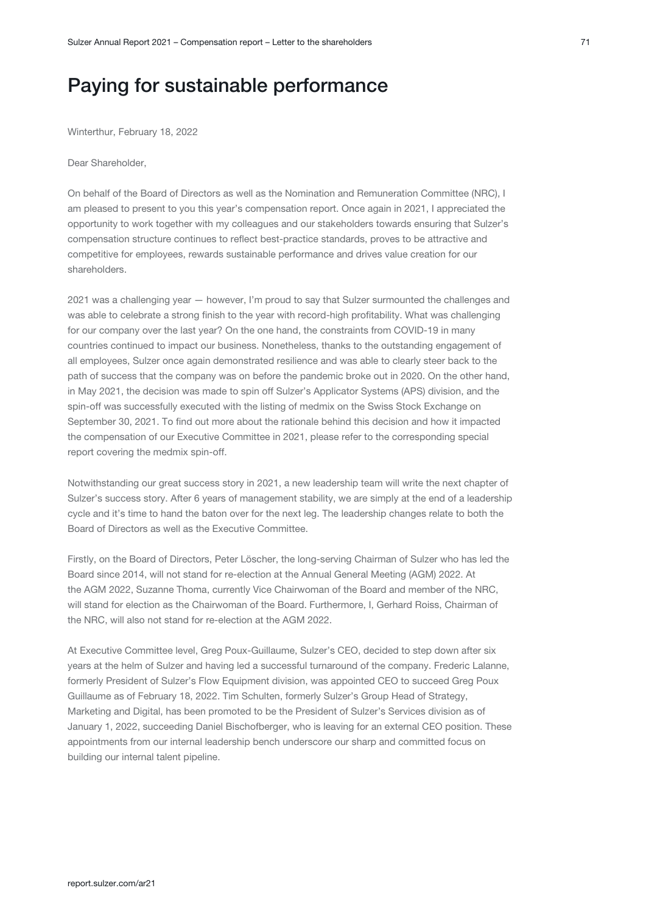## <span id="page-1-0"></span>Paying for sustainable performance

Winterthur, February 18, 2022

Dear Shareholder,

On behalf of the Board of Directors as well as the Nomination and Remuneration Committee (NRC), I am pleased to present to you this year's compensation report. Once again in 2021, I appreciated the opportunity to work together with my colleagues and our stakeholders towards ensuring that Sulzer's compensation structure continues to reflect best-practice standards, proves to be attractive and competitive for employees, rewards sustainable performance and drives value creation for our shareholders.

2021 was a challenging year — however, I'm proud to say that Sulzer surmounted the challenges and was able to celebrate a strong finish to the year with record-high profitability. What was challenging for our company over the last year? On the one hand, the constraints from COVID-19 in many countries continued to impact our business. Nonetheless, thanks to the outstanding engagement of all employees, Sulzer once again demonstrated resilience and was able to clearly steer back to the path of success that the company was on before the pandemic broke out in 2020. On the other hand, in May 2021, the decision was made to spin off Sulzer's Applicator Systems (APS) division, and the spin-off was successfully executed with the listing of medmix on the Swiss Stock Exchange on September 30, 2021. To find out more about the rationale behind this decision and how it impacted the compensation of our Executive Committee in 2021, please refer to the corresponding special report covering the medmix spin-off.

Notwithstanding our great success story in 2021, a new leadership team will write the next chapter of Sulzer's success story. After 6 years of management stability, we are simply at the end of a leadership cycle and it's time to hand the baton over for the next leg. The leadership changes relate to both the Board of Directors as well as the Executive Committee.

Firstly, on the Board of Directors, Peter Löscher, the long-serving Chairman of Sulzer who has led the Board since 2014, will not stand for re-election at the Annual General Meeting (AGM) 2022. At the AGM 2022, Suzanne Thoma, currently Vice Chairwoman of the Board and member of the NRC, will stand for election as the Chairwoman of the Board. Furthermore, I, Gerhard Roiss, Chairman of the NRC, will also not stand for re-election at the AGM 2022.

At Executive Committee level, Greg Poux-Guillaume, Sulzer's CEO, decided to step down after six years at the helm of Sulzer and having led a successful turnaround of the company. Frederic Lalanne, formerly President of Sulzer's Flow Equipment division, was appointed CEO to succeed Greg Poux Guillaume as of February 18, 2022. Tim Schulten, formerly Sulzer's Group Head of Strategy, Marketing and Digital, has been promoted to be the President of Sulzer's Services division as of January 1, 2022, succeeding Daniel Bischofberger, who is leaving for an external CEO position. These appointments from our internal leadership bench underscore our sharp and committed focus on building our internal talent pipeline.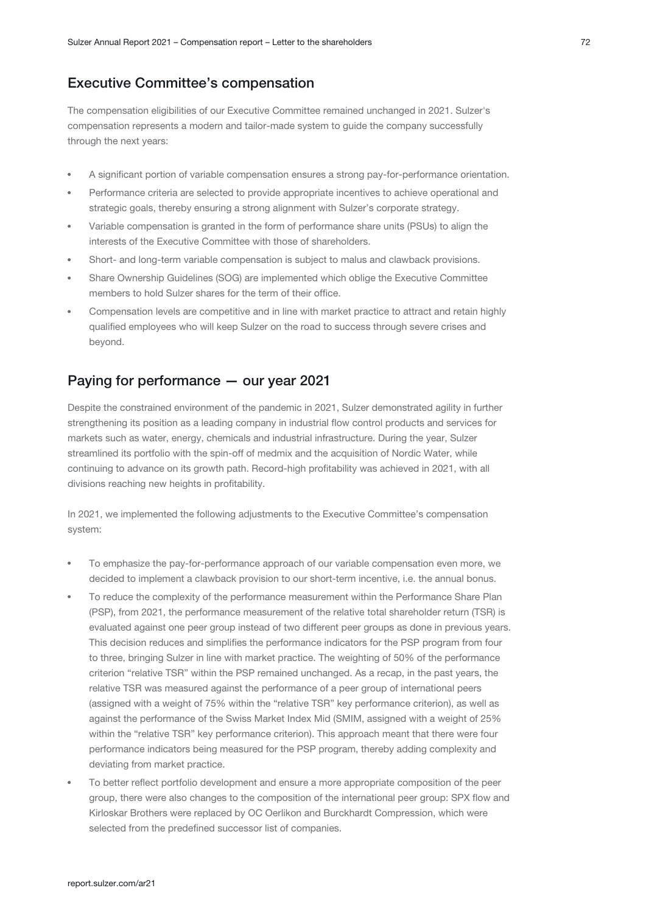## Executive Committee's compensation

The compensation eligibilities of our Executive Committee remained unchanged in 2021. Sulzer's compensation represents a modern and tailor-made system to guide the company successfully through the next years:

- A significant portion of variable compensation ensures a strong pay-for-performance orientation.
- Performance criteria are selected to provide appropriate incentives to achieve operational and strategic goals, thereby ensuring a strong alignment with Sulzer's corporate strategy.
- Variable compensation is granted in the form of performance share units (PSUs) to align the interests of the Executive Committee with those of shareholders.
- Short- and long-term variable compensation is subject to malus and clawback provisions.
- Share Ownership Guidelines (SOG) are implemented which oblige the Executive Committee members to hold Sulzer shares for the term of their office.
- Compensation levels are competitive and in line with market practice to attract and retain highly qualified employees who will keep Sulzer on the road to success through severe crises and beyond.

## Paying for performance — our year 2021

Despite the constrained environment of the pandemic in 2021, Sulzer demonstrated agility in further strengthening its position as a leading company in industrial flow control products and services for markets such as water, energy, chemicals and industrial infrastructure. During the year, Sulzer streamlined its portfolio with the spin-off of medmix and the acquisition of Nordic Water, while continuing to advance on its growth path. Record-high profitability was achieved in 2021, with all divisions reaching new heights in profitability.

In 2021, we implemented the following adjustments to the Executive Committee's compensation system:

- To emphasize the pay-for-performance approach of our variable compensation even more, we decided to implement a clawback provision to our short-term incentive, i.e. the annual bonus.
- To reduce the complexity of the performance measurement within the Performance Share Plan (PSP), from 2021, the performance measurement of the relative total shareholder return (TSR) is evaluated against one peer group instead of two different peer groups as done in previous years. This decision reduces and simplifies the performance indicators for the PSP program from four to three, bringing Sulzer in line with market practice. The weighting of 50% of the performance criterion "relative TSR" within the PSP remained unchanged. As a recap, in the past years, the relative TSR was measured against the performance of a peer group of international peers (assigned with a weight of 75% within the "relative TSR" key performance criterion), as well as against the performance of the Swiss Market Index Mid (SMIM, assigned with a weight of 25% within the "relative TSR" key performance criterion). This approach meant that there were four performance indicators being measured for the PSP program, thereby adding complexity and deviating from market practice.
- To better reflect portfolio development and ensure a more appropriate composition of the peer group, there were also changes to the composition of the international peer group: SPX flow and Kirloskar Brothers were replaced by OC Oerlikon and Burckhardt Compression, which were selected from the predefined successor list of companies.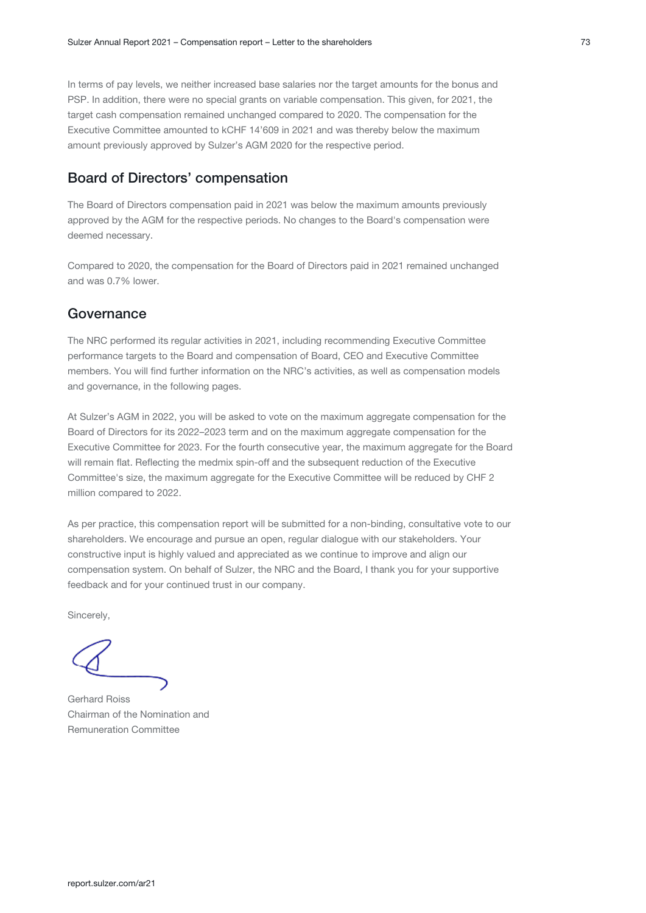In terms of pay levels, we neither increased base salaries nor the target amounts for the bonus and PSP. In addition, there were no special grants on variable compensation. This given, for 2021, the target cash compensation remained unchanged compared to 2020. The compensation for the Executive Committee amounted to kCHF 14'609 in 2021 and was thereby below the maximum amount previously approved by Sulzer's AGM 2020 for the respective period.

## Board of Directors' compensation

The Board of Directors compensation paid in 2021 was below the maximum amounts previously approved by the AGM for the respective periods. No changes to the Board's compensation were deemed necessary.

Compared to 2020, the compensation for the Board of Directors paid in 2021 remained unchanged and was 0.7% lower.

## **Governance**

The NRC performed its regular activities in 2021, including recommending Executive Committee performance targets to the Board and compensation of Board, CEO and Executive Committee members. You will find further information on the NRC's activities, as well as compensation models and governance, in the following pages.

At Sulzer's AGM in 2022, you will be asked to vote on the maximum aggregate compensation for the Board of Directors for its 2022–2023 term and on the maximum aggregate compensation for the Executive Committee for 2023. For the fourth consecutive year, the maximum aggregate for the Board will remain flat. Reflecting the medmix spin-off and the subsequent reduction of the Executive Committee's size, the maximum aggregate for the Executive Committee will be reduced by CHF 2 million compared to 2022.

As per practice, this compensation report will be submitted for a non-binding, consultative vote to our shareholders. We encourage and pursue an open, regular dialogue with our stakeholders. Your constructive input is highly valued and appreciated as we continue to improve and align our compensation system. On behalf of Sulzer, the NRC and the Board, I thank you for your supportive feedback and for your continued trust in our company.

Sincerely,

Gerhard Roiss Chairman of the Nomination and Remuneration Committee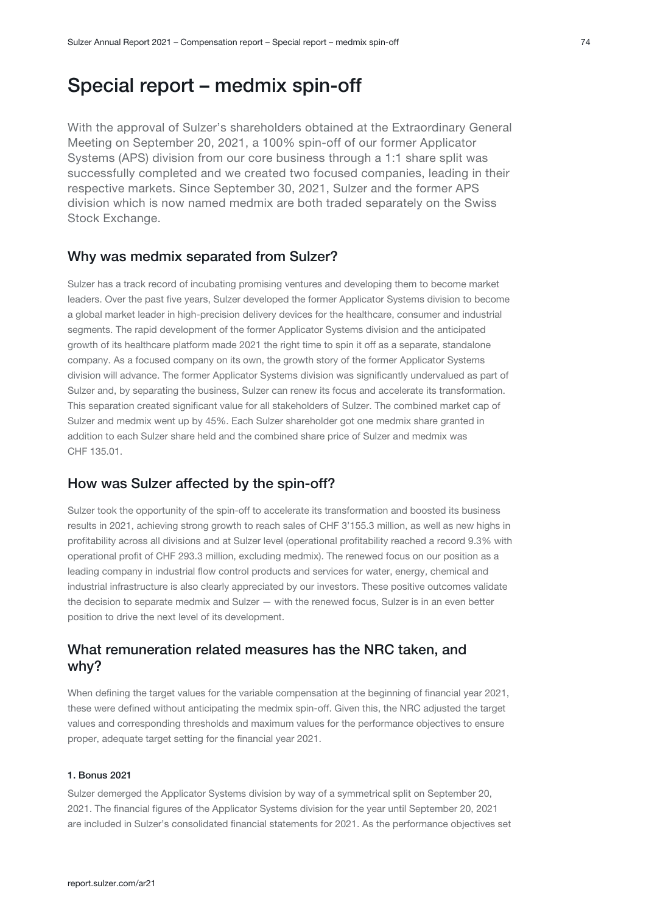<span id="page-4-0"></span>With the approval of Sulzer's shareholders obtained at the Extraordinary General Meeting on September 20, 2021, a 100% spin-off of our former Applicator Systems (APS) division from our core business through a 1:1 share split was successfully completed and we created two focused companies, leading in their respective markets. Since September 30, 2021, Sulzer and the former APS division which is now named medmix are both traded separately on the Swiss Stock Exchange.

## Why was medmix separated from Sulzer?

Sulzer has a track record of incubating promising ventures and developing them to become market leaders. Over the past five years, Sulzer developed the former Applicator Systems division to become a global market leader in high-precision delivery devices for the healthcare, consumer and industrial segments. The rapid development of the former Applicator Systems division and the anticipated growth of its healthcare platform made 2021 the right time to spin it off as a separate, standalone company. As a focused company on its own, the growth story of the former Applicator Systems division will advance. The former Applicator Systems division was significantly undervalued as part of Sulzer and, by separating the business, Sulzer can renew its focus and accelerate its transformation. This separation created significant value for all stakeholders of Sulzer. The combined market cap of Sulzer and medmix went up by 45%. Each Sulzer shareholder got one medmix share granted in addition to each Sulzer share held and the combined share price of Sulzer and medmix was CHF 135.01.

## How was Sulzer affected by the spin-off?

Sulzer took the opportunity of the spin-off to accelerate its transformation and boosted its business results in 2021, achieving strong growth to reach sales of CHF 3'155.3 million, as well as new highs in profitability across all divisions and at Sulzer level (operational profitability reached a record 9.3% with operational profit of CHF 293.3 million, excluding medmix). The renewed focus on our position as a leading company in industrial flow control products and services for water, energy, chemical and industrial infrastructure is also clearly appreciated by our investors. These positive outcomes validate the decision to separate medmix and Sulzer — with the renewed focus, Sulzer is in an even better position to drive the next level of its development.

## What remuneration related measures has the NRC taken, and why?

When defining the target values for the variable compensation at the beginning of financial year 2021, these were defined without anticipating the medmix spin-off. Given this, the NRC adjusted the target values and corresponding thresholds and maximum values for the performance objectives to ensure proper, adequate target setting for the financial year 2021.

#### 1. Bonus 2021

Sulzer demerged the Applicator Systems division by way of a symmetrical split on September 20, 2021. The financial figures of the Applicator Systems division for the year until September 20, 2021 are included in Sulzer's consolidated financial statements for 2021. As the performance objectives set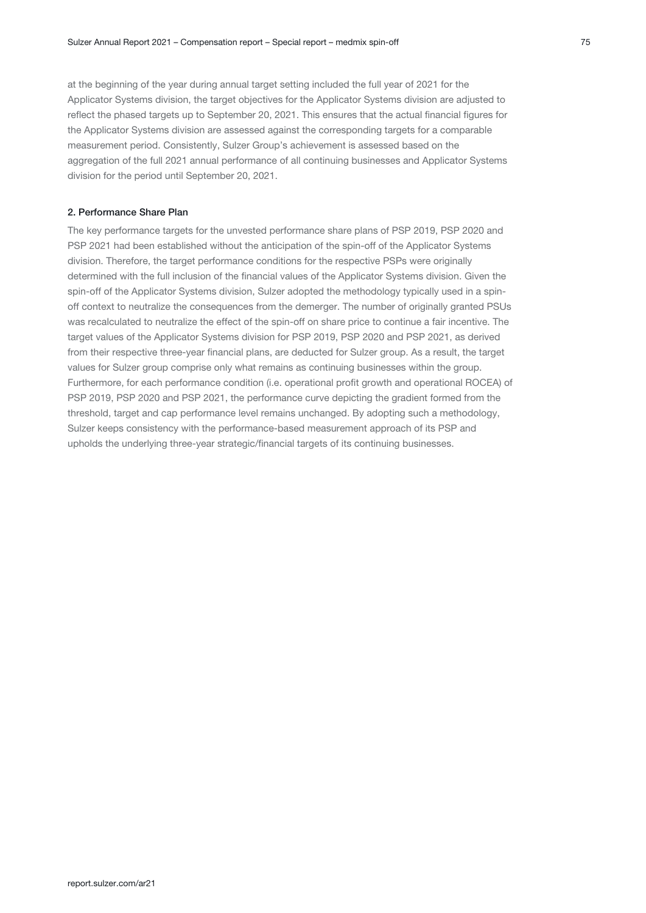at the beginning of the year during annual target setting included the full year of 2021 for the Applicator Systems division, the target objectives for the Applicator Systems division are adjusted to reflect the phased targets up to September 20, 2021. This ensures that the actual financial figures for the Applicator Systems division are assessed against the corresponding targets for a comparable measurement period. Consistently, Sulzer Group's achievement is assessed based on the aggregation of the full 2021 annual performance of all continuing businesses and Applicator Systems division for the period until September 20, 2021.

#### 2. Performance Share Plan

The key performance targets for the unvested performance share plans of PSP 2019, PSP 2020 and PSP 2021 had been established without the anticipation of the spin-off of the Applicator Systems division. Therefore, the target performance conditions for the respective PSPs were originally determined with the full inclusion of the financial values of the Applicator Systems division. Given the spin-off of the Applicator Systems division, Sulzer adopted the methodology typically used in a spinoff context to neutralize the consequences from the demerger. The number of originally granted PSUs was recalculated to neutralize the effect of the spin-off on share price to continue a fair incentive. The target values of the Applicator Systems division for PSP 2019, PSP 2020 and PSP 2021, as derived from their respective three-year financial plans, are deducted for Sulzer group. As a result, the target values for Sulzer group comprise only what remains as continuing businesses within the group. Furthermore, for each performance condition (i.e. operational profit growth and operational ROCEA) of PSP 2019, PSP 2020 and PSP 2021, the performance curve depicting the gradient formed from the threshold, target and cap performance level remains unchanged. By adopting such a methodology, Sulzer keeps consistency with the performance-based measurement approach of its PSP and upholds the underlying three-year strategic/financial targets of its continuing businesses.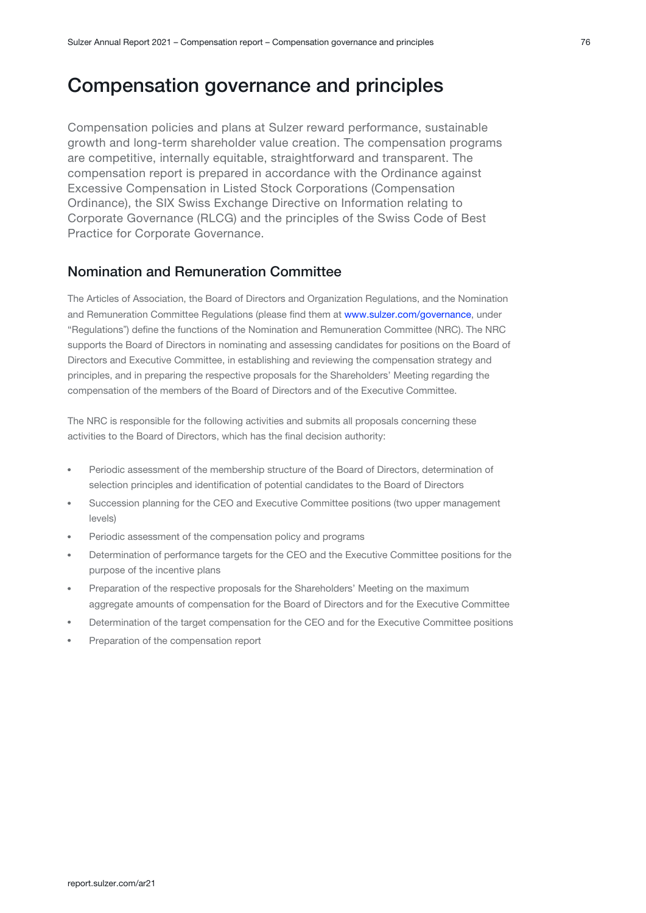## <span id="page-6-0"></span>Compensation governance and principles

Compensation policies and plans at Sulzer reward performance, sustainable growth and long-term shareholder value creation. The compensation programs are competitive, internally equitable, straightforward and transparent. The compensation report is prepared in accordance with the Ordinance against Excessive Compensation in Listed Stock Corporations (Compensation Ordinance), the SIX Swiss Exchange Directive on Information relating to Corporate Governance (RLCG) and the principles of the Swiss Code of Best Practice for Corporate Governance.

## Nomination and Remuneration Committee

The Articles of Association, the Board of Directors and Organization Regulations, and the Nomination andRemuneration Committee Regulations (please find them at www.sulzer.com/governance, under "Regulationsˮ) define the functions of the Nomination and Remuneration Committee (NRC). The NRC supports the Board of Directors in nominating and assessing candidates for positions on the Board of Directors and Executive Committee, in establishing and reviewing the compensation strategy and principles, and in preparing the respective proposals for the Shareholders' Meeting regarding the compensation of the members of the Board of Directors and of the Executive Committee.

The NRC is responsible for the following activities and submits all proposals concerning these activities to the Board of Directors, which has the final decision authority:

- Periodic assessment of the membership structure of the Board of Directors, determination of selection principles and identification of potential candidates to the Board of Directors
- Succession planning for the CEO and Executive Committee positions (two upper management levels)
- Periodic assessment of the compensation policy and programs
- Determination of performance targets for the CEO and the Executive Committee positions for the purpose of the incentive plans
- Preparation of the respective proposals for the Shareholders' Meeting on the maximum aggregate amounts of compensation for the Board of Directors and for the Executive Committee
- Determination of the target compensation for the CEO and for the Executive Committee positions
- Preparation of the compensation report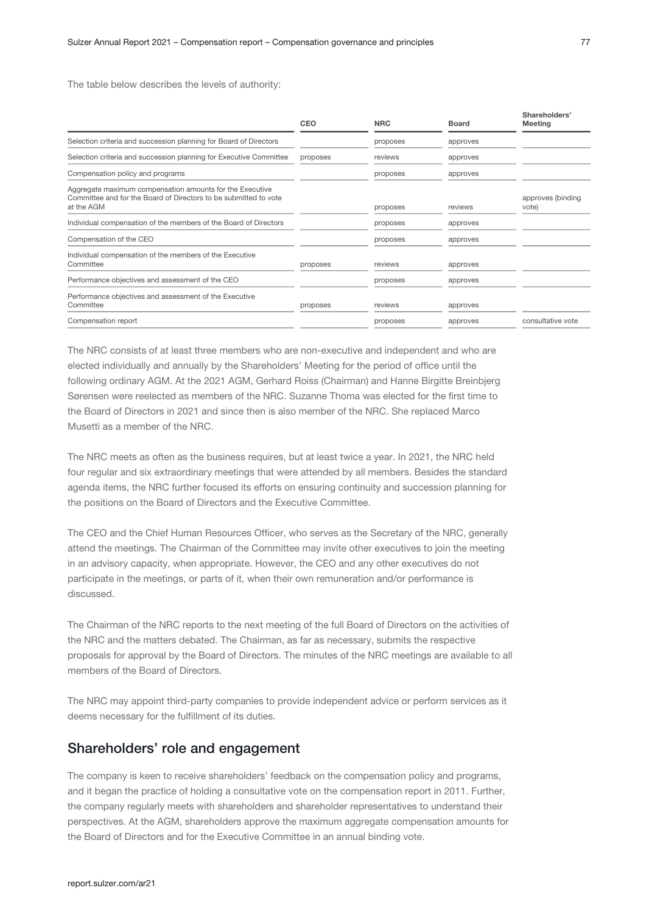The table below describes the levels of authority:

|                                                                                                                                            | CEO      | <b>NRC</b> | <b>Board</b> | Shareholders'<br>Meeting   |
|--------------------------------------------------------------------------------------------------------------------------------------------|----------|------------|--------------|----------------------------|
| Selection criteria and succession planning for Board of Directors                                                                          |          | proposes   | approves     |                            |
| Selection criteria and succession planning for Executive Committee                                                                         | proposes | reviews    | approves     |                            |
| Compensation policy and programs                                                                                                           |          | proposes   | approves     |                            |
| Aggregate maximum compensation amounts for the Executive<br>Committee and for the Board of Directors to be submitted to vote<br>at the AGM |          | proposes   | reviews      | approves (binding<br>vote) |
| Individual compensation of the members of the Board of Directors                                                                           |          | proposes   | approves     |                            |
| Compensation of the CEO                                                                                                                    |          | proposes   | approves     |                            |
| Individual compensation of the members of the Executive<br>Committee                                                                       | proposes | reviews    | approves     |                            |
| Performance objectives and assessment of the CEO                                                                                           |          | proposes   | approves     |                            |
| Performance objectives and assessment of the Executive<br>Committee                                                                        | proposes | reviews    | approves     |                            |
| Compensation report                                                                                                                        |          | proposes   | approves     | consultative vote          |

The NRC consists of at least three members who are non-executive and independent and who are elected individually and annually by the Shareholders' Meeting for the period of office until the following ordinary AGM. At the 2021 AGM, Gerhard Roiss (Chairman) and Hanne Birgitte Breinbjerg Sørensen were reelected as members of the NRC. Suzanne Thoma was elected for the first time to the Board of Directors in 2021 and since then is also member of the NRC. She replaced Marco Musetti as a member of the NRC.

The NRC meets as often as the business requires, but at least twice a year. In 2021, the NRC held four regular and six extraordinary meetings that were attended by all members. Besides the standard agenda items, the NRC further focused its efforts on ensuring continuity and succession planning for the positions on the Board of Directors and the Executive Committee.

The CEO and the Chief Human Resources Officer, who serves as the Secretary of the NRC, generally attend the meetings. The Chairman of the Committee may invite other executives to join the meeting in an advisory capacity, when appropriate. However, the CEO and any other executives do not participate in the meetings, or parts of it, when their own remuneration and/or performance is discussed.

The Chairman of the NRC reports to the next meeting of the full Board of Directors on the activities of the NRC and the matters debated. The Chairman, as far as necessary, submits the respective proposals for approval by the Board of Directors. The minutes of the NRC meetings are available to all members of the Board of Directors.

The NRC may appoint third-party companies to provide independent advice or perform services as it deems necessary for the fulfillment of its duties.

#### Shareholders' role and engagement

The company is keen to receive shareholders' feedback on the compensation policy and programs, and it began the practice of holding a consultative vote on the compensation report in 2011. Further, the company regularly meets with shareholders and shareholder representatives to understand their perspectives. At the AGM, shareholders approve the maximum aggregate compensation amounts for the Board of Directors and for the Executive Committee in an annual binding vote.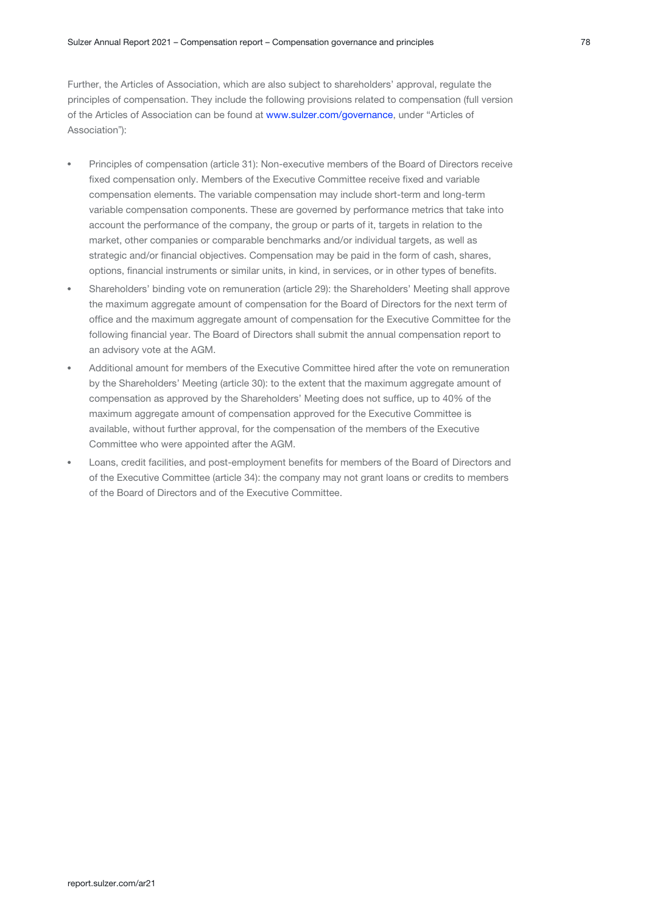Further, the Articles of Association, which are also subject to shareholders' approval, regulate the principles of compensation. They include the following provisions related to compensation (full version of the Articles of Association can be found at [www.sulzer.com/governance](https://www.sulzer.com/governance), under "Articles of Association"):

- Principles of compensation (article 31): Non-executive members of the Board of Directors receive fixed compensation only. Members of the Executive Committee receive fixed and variable compensation elements. The variable compensation may include short-term and long-term variable compensation components. These are governed by performance metrics that take into account the performance of the company, the group or parts of it, targets in relation to the market, other companies or comparable benchmarks and/or individual targets, as well as strategic and/or financial objectives. Compensation may be paid in the form of cash, shares, options, financial instruments or similar units, in kind, in services, or in other types of benefits.
- Shareholders' binding vote on remuneration (article 29): the Shareholders' Meeting shall approve the maximum aggregate amount of compensation for the Board of Directors for the next term of office and the maximum aggregate amount of compensation for the Executive Committee for the following financial year. The Board of Directors shall submit the annual compensation report to an advisory vote at the AGM.
- Additional amount for members of the Executive Committee hired after the vote on remuneration by the Shareholders' Meeting (article 30): to the extent that the maximum aggregate amount of compensation as approved by the Shareholders' Meeting does not suffice, up to 40% of the maximum aggregate amount of compensation approved for the Executive Committee is available, without further approval, for the compensation of the members of the Executive Committee who were appointed after the AGM.
- Loans, credit facilities, and post-employment benefits for members of the Board of Directors and of the Executive Committee (article 34): the company may not grant loans or credits to members of the Board of Directors and of the Executive Committee.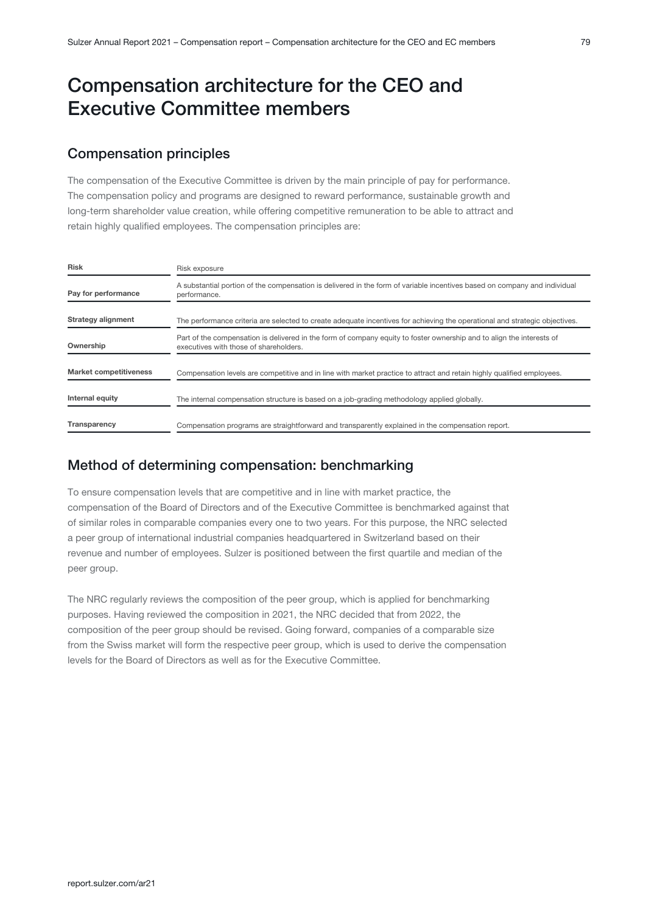# <span id="page-9-0"></span>Compensation architecture for the CEO and Executive Committee members

## Compensation principles

The compensation of the Executive Committee is driven by the main principle of pay for performance. The compensation policy and programs are designed to reward performance, sustainable growth and long-term shareholder value creation, while offering competitive remuneration to be able to attract and retain highly qualified employees. The compensation principles are:

| <b>Risk</b>                   | Risk exposure                                                                                                                                                   |
|-------------------------------|-----------------------------------------------------------------------------------------------------------------------------------------------------------------|
| Pay for performance           | A substantial portion of the compensation is delivered in the form of variable incentives based on company and individual<br>performance.                       |
| Strategy alignment            | The performance criteria are selected to create adequate incentives for achieving the operational and strategic objectives.                                     |
| Ownership                     | Part of the compensation is delivered in the form of company equity to foster ownership and to align the interests of<br>executives with those of shareholders. |
| <b>Market competitiveness</b> | Compensation levels are competitive and in line with market practice to attract and retain highly qualified employees.                                          |
| Internal equity               | The internal compensation structure is based on a job-grading methodology applied globally.                                                                     |
| Transparency                  | Compensation programs are straightforward and transparently explained in the compensation report.                                                               |

## Method of determining compensation: benchmarking

To ensure compensation levels that are competitive and in line with market practice, the compensation of the Board of Directors and of the Executive Committee is benchmarked against that of similar roles in comparable companies every one to two years. For this purpose, the NRC selected a peer group of international industrial companies headquartered in Switzerland based on their revenue and number of employees. Sulzer is positioned between the first quartile and median of the peer group.

The NRC regularly reviews the composition of the peer group, which is applied for benchmarking purposes. Having reviewed the composition in 2021, the NRC decided that from 2022, the composition of the peer group should be revised. Going forward, companies of a comparable size from the Swiss market will form the respective peer group, which is used to derive the compensation levels for the Board of Directors as well as for the Executive Committee.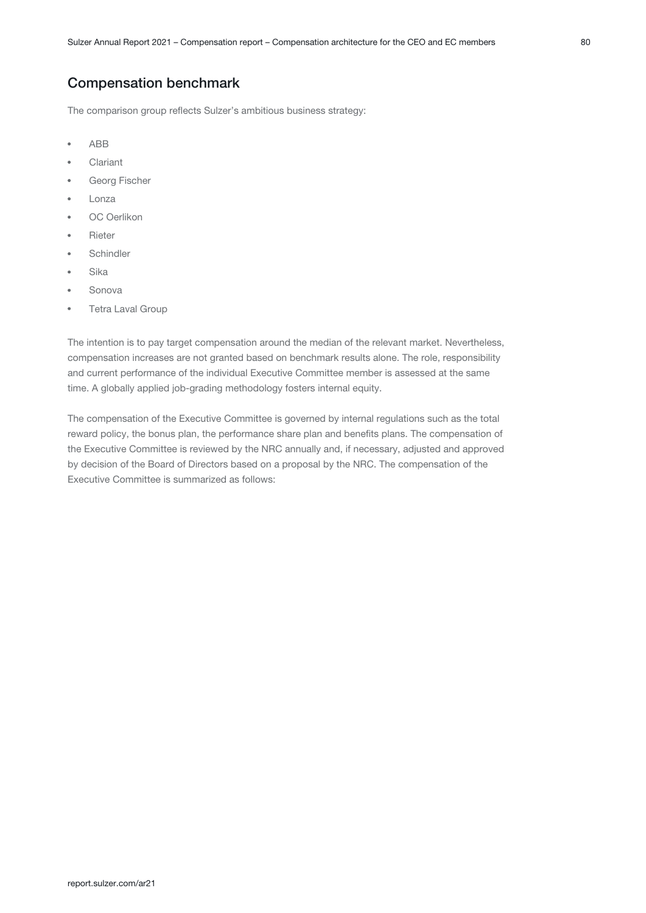## Compensation benchmark

The comparison group reflects Sulzer's ambitious business strategy:

- ABB
- Clariant
- Georg Fischer
- Lonza
- OC Oerlikon
- Rieter
- **Schindler**
- Sika
- Sonova
- Tetra Laval Group

The intention is to pay target compensation around the median of the relevant market. Nevertheless, compensation increases are not granted based on benchmark results alone. The role, responsibility and current performance of the individual Executive Committee member is assessed at the same time. A globally applied job-grading methodology fosters internal equity.

The compensation of the Executive Committee is governed by internal regulations such as the total reward policy, the bonus plan, the performance share plan and benefits plans. The compensation of the Executive Committee is reviewed by the NRC annually and, if necessary, adjusted and approved by decision of the Board of Directors based on a proposal by the NRC. The compensation of the Executive Committee is summarized as follows: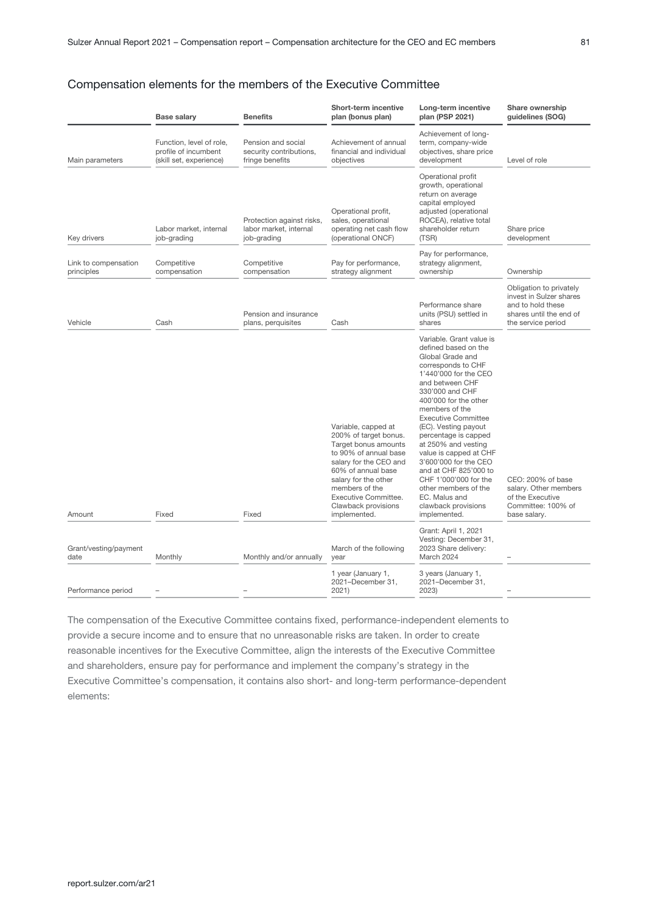#### Compensation elements for the members of the Executive Committee

|                                    | <b>Base salary</b>                                                          | <b>Benefits</b>                                                    | <b>Short-term incentive</b><br>plan (bonus plan)                                                                                                                                                                                                       | Long-term incentive<br>plan (PSP 2021)                                                                                                                                                                                                                                                                                                                                                                                                                                                                                 | Share ownership<br>guidelines (SOG)                                                                                      |
|------------------------------------|-----------------------------------------------------------------------------|--------------------------------------------------------------------|--------------------------------------------------------------------------------------------------------------------------------------------------------------------------------------------------------------------------------------------------------|------------------------------------------------------------------------------------------------------------------------------------------------------------------------------------------------------------------------------------------------------------------------------------------------------------------------------------------------------------------------------------------------------------------------------------------------------------------------------------------------------------------------|--------------------------------------------------------------------------------------------------------------------------|
| Main parameters                    | Function, level of role,<br>profile of incumbent<br>(skill set, experience) | Pension and social<br>security contributions,<br>fringe benefits   | Achievement of annual<br>financial and individual<br>objectives                                                                                                                                                                                        | Achievement of long-<br>term, company-wide<br>objectives, share price<br>development                                                                                                                                                                                                                                                                                                                                                                                                                                   | Level of role                                                                                                            |
| Key drivers                        | Labor market, internal<br>job-grading                                       | Protection against risks,<br>labor market, internal<br>job-grading | Operational profit,<br>sales, operational<br>operating net cash flow<br>(operational ONCF)                                                                                                                                                             | Operational profit<br>growth, operational<br>return on average<br>capital employed<br>adjusted (operational<br>ROCEA), relative total<br>shareholder return<br>(TSR)                                                                                                                                                                                                                                                                                                                                                   | Share price<br>development                                                                                               |
| Link to compensation<br>principles | Competitive<br>compensation                                                 | Competitive<br>compensation                                        | Pay for performance,<br>strategy alignment                                                                                                                                                                                                             | Pay for performance,<br>strategy alignment,<br>ownership                                                                                                                                                                                                                                                                                                                                                                                                                                                               | Ownership                                                                                                                |
| Vehicle                            | Cash                                                                        | Pension and insurance<br>plans, perquisites                        | Cash                                                                                                                                                                                                                                                   | Performance share<br>units (PSU) settled in<br>shares                                                                                                                                                                                                                                                                                                                                                                                                                                                                  | Obligation to privately<br>invest in Sulzer shares<br>and to hold these<br>shares until the end of<br>the service period |
| Amount                             | Fixed                                                                       | Fixed                                                              | Variable, capped at<br>200% of target bonus.<br>Target bonus amounts<br>to 90% of annual base<br>salary for the CEO and<br>60% of annual base<br>salary for the other<br>members of the<br>Executive Committee.<br>Clawback provisions<br>implemented. | Variable. Grant value is<br>defined based on the<br>Global Grade and<br>corresponds to CHF<br>1'440'000 for the CEO<br>and between CHF<br>330'000 and CHF<br>400'000 for the other<br>members of the<br><b>Executive Committee</b><br>(EC). Vesting payout<br>percentage is capped<br>at 250% and vesting<br>value is capped at CHF<br>3'600'000 for the CEO<br>and at CHF 825'000 to<br>CHF 1'000'000 for the<br>other members of the<br>EC. Malus and<br>clawback provisions<br>implemented.<br>Grant: April 1, 2021 | CEO: 200% of base<br>salary. Other members<br>of the Executive<br>Committee: 100% of<br>base salary.                     |
| Grant/vesting/payment<br>date      | Monthly                                                                     | Monthly and/or annually                                            | March of the following<br>year                                                                                                                                                                                                                         | Vesting: December 31,<br>2023 Share delivery:<br>March 2024                                                                                                                                                                                                                                                                                                                                                                                                                                                            |                                                                                                                          |
| Performance period                 |                                                                             |                                                                    | 1 year (January 1,<br>2021-December 31,<br>2021)                                                                                                                                                                                                       | 3 years (January 1,<br>2021-December 31,<br>2023)                                                                                                                                                                                                                                                                                                                                                                                                                                                                      |                                                                                                                          |

The compensation of the Executive Committee contains fixed, performance-independent elements to provide a secure income and to ensure that no unreasonable risks are taken. In order to create reasonable incentives for the Executive Committee, align the interests of the Executive Committee and shareholders, ensure pay for performance and implement the company's strategy in the Executive Committee's compensation, it contains also short- and long-term performance-dependent elements: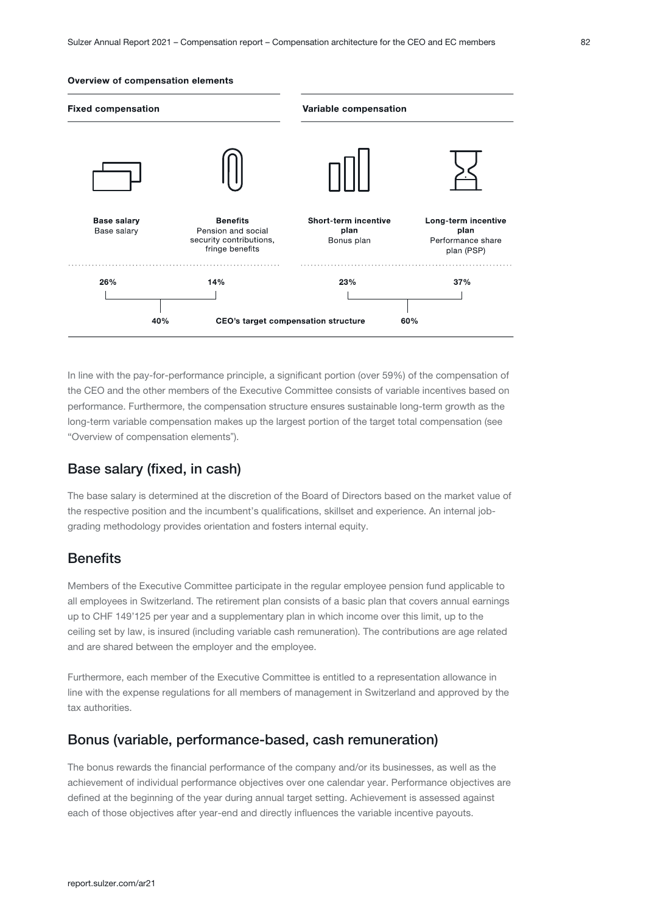#### Overview of compensation elements



In line with the pay-for-performance principle, a significant portion (over 59%) of the compensation of the CEO and the other members of the Executive Committee consists of variable incentives based on performance. Furthermore, the compensation structure ensures sustainable long-term growth as the long-term variable compensation makes up the largest portion of the target total compensation (see "Overview of compensation elements").

## Base salary (fixed, in cash)

The base salary is determined at the discretion of the Board of Directors based on the market value of the respective position and the incumbent's qualifications, skillset and experience. An internal jobgrading methodology provides orientation and fosters internal equity.

## **Benefits**

Members of the Executive Committee participate in the regular employee pension fund applicable to all employees in Switzerland. The retirement plan consists of a basic plan that covers annual earnings up to CHF 149'125 per year and a supplementary plan in which income over this limit, up to the ceiling set by law, is insured (including variable cash remuneration). The contributions are age related and are shared between the employer and the employee.

Furthermore, each member of the Executive Committee is entitled to a representation allowance in line with the expense regulations for all members of management in Switzerland and approved by the tax authorities.

## Bonus (variable, performance-based, cash remuneration)

The bonus rewards the financial performance of the company and/or its businesses, as well as the achievement of individual performance objectives over one calendar year. Performance objectives are defined at the beginning of the year during annual target setting. Achievement is assessed against each of those objectives after year-end and directly influences the variable incentive payouts.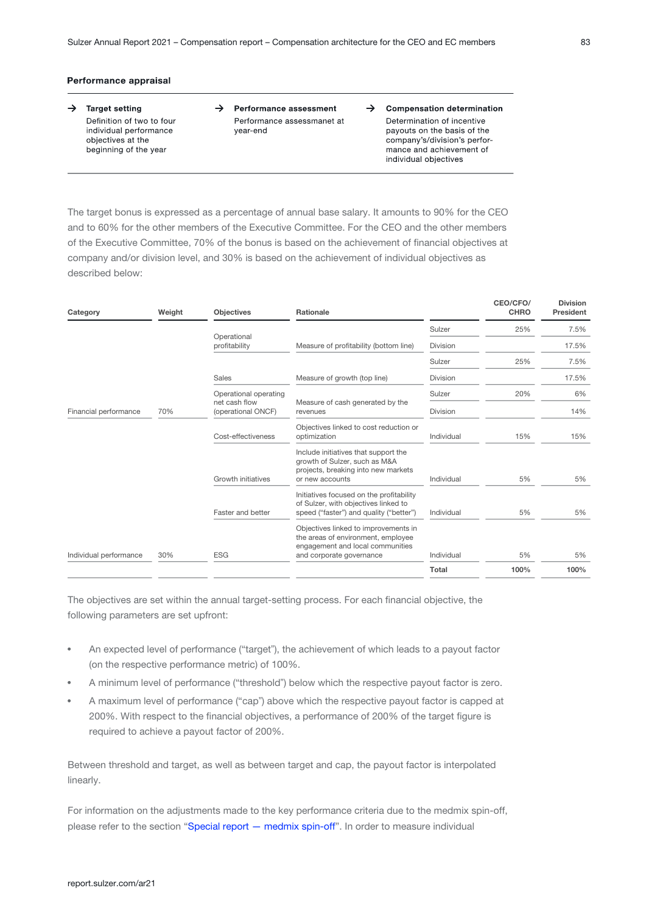#### Performance appraisal

- $\rightarrow$  Target setting Definition of two to four individual performance objectives at the beginning of the year
- $\rightarrow$  Performance assessment Performance assessmanet at vear-end
- $\rightarrow$  Compensation determination Determination of incentive payouts on the basis of the company's/division's performance and achievement of individual objectives

The target bonus is expressed as a percentage of annual base salary. It amounts to 90% for the CEO and to 60% for the other members of the Executive Committee. For the CEO and the other members of the Executive Committee, 70% of the bonus is based on the achievement of financial objectives at company and/or division level, and 30% is based on the achievement of individual objectives as described below:

| Category               | Weight | <b>Objectives</b>                      | <b>Rationale</b>                                                                                                                           |                 | CEO/CFO/<br><b>CHRO</b> | <b>Division</b><br>President |
|------------------------|--------|----------------------------------------|--------------------------------------------------------------------------------------------------------------------------------------------|-----------------|-------------------------|------------------------------|
|                        |        | Operational                            |                                                                                                                                            | Sulzer          | 25%                     | 7.5%                         |
|                        |        | profitability                          | Measure of profitability (bottom line)                                                                                                     | <b>Division</b> |                         | 17.5%                        |
|                        |        |                                        |                                                                                                                                            | Sulzer          | 25%                     | 7.5%                         |
|                        |        | Sales                                  | Measure of growth (top line)                                                                                                               | <b>Division</b> |                         | 17.5%                        |
|                        |        | Operational operating<br>net cash flow |                                                                                                                                            | Sulzer          | 20%                     | 6%                           |
| Financial performance  | 70%    | (operational ONCF)                     | Measure of cash generated by the<br>revenues                                                                                               | <b>Division</b> |                         | 14%                          |
|                        |        | Cost-effectiveness                     | Objectives linked to cost reduction or<br>optimization                                                                                     | Individual      | 15%                     | 15%                          |
|                        |        | Growth initiatives                     | Include initiatives that support the<br>growth of Sulzer, such as M&A<br>projects, breaking into new markets<br>or new accounts            | Individual      | 5%                      | 5%                           |
|                        |        | Faster and better                      | Initiatives focused on the profitability<br>of Sulzer, with objectives linked to<br>speed ("faster") and quality ("better")                | Individual      | 5%                      | 5%                           |
| Individual performance | 30%    | <b>ESG</b>                             | Objectives linked to improvements in<br>the areas of environment, employee<br>engagement and local communities<br>and corporate governance | Individual      | 5%                      | 5%                           |
|                        |        |                                        |                                                                                                                                            | Total           | 100%                    | 100%                         |

The objectives are set within the annual target-setting process. For each financial objective, the following parameters are set upfront:

- An expected level of performance ("target"), the achievement of which leads to a payout factor (on the respective performance metric) of 100%.
- A minimum level of performance ("threshold") below which the respective payout factor is zero.
- A maximum level of performance ("cap") above which the respective payout factor is capped at 200%. With respect to the financial objectives, a performance of 200% of the target figure is required to achieve a payout factor of 200%.

Between threshold and target, as well as between target and cap, the payout factor is interpolated linearly.

For information on the adjustments made to the key performance criteria due to the medmix spin-off, please refer to the section "Special report - medmix spin-off". In order to measure individual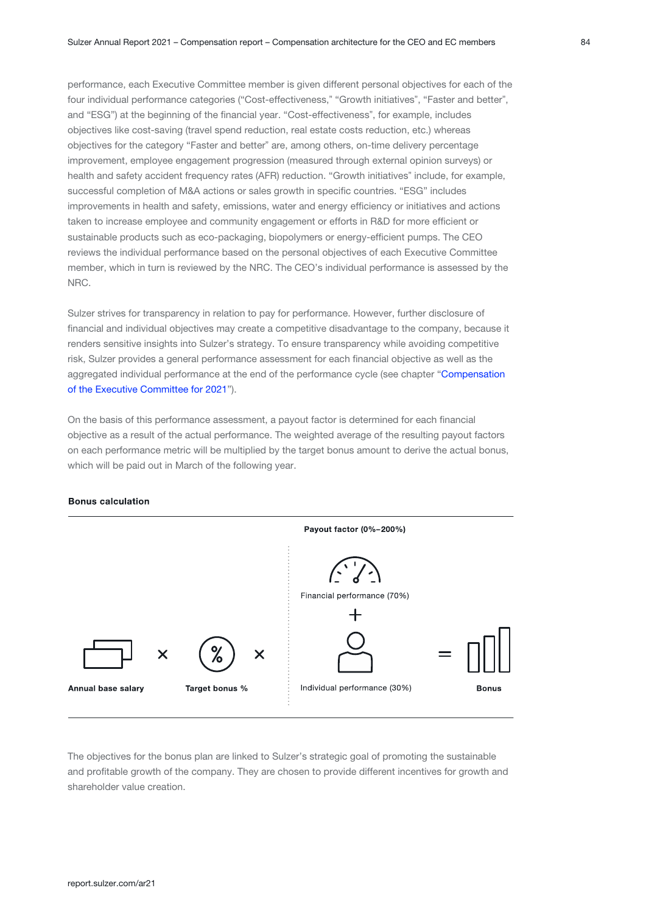performance, each Executive Committee member is given different personal objectives for each of the four individual performance categories ("Cost-effectiveness," "Growth initiatives", "Faster and better", and "ESG") at the beginning of the financial year. "Cost-effectiveness", for example, includes objectives like cost-saving (travel spend reduction, real estate costs reduction, etc.) whereas objectives for the category "Faster and better" are, among others, on-time delivery percentage improvement, employee engagement progression (measured through external opinion surveys) or health and safety accident frequency rates (AFR) reduction. "Growth initiatives" include, for example, successful completion of M&A actions or sales growth in specific countries. "ESG" includes improvements in health and safety, emissions, water and energy efficiency or initiatives and actions taken to increase employee and community engagement or efforts in R&D for more efficient or sustainable products such as eco-packaging, biopolymers or energy-efficient pumps. The CEO reviews the individual performance based on the personal objectives of each Executive Committee member, which in turn is reviewed by the NRC. The CEO's individual performance is assessed by the NRC.

Sulzer strives for transparency in relation to pay for performance. However, further disclosure of financial and individual objectives may create a competitive disadvantage to the company, because it renders sensitive insights into Sulzer's strategy. To ensure transparency while avoiding competitive risk, Sulzer provides a general performance assessment for each financial objective as well as the aggregated individual performance at the end of the performance cycle (see chapter "Compensation [of the Executive Committee for 2021](#page-19-0)").

On the basis of this performance assessment, a payout factor is determined for each financial objective as a result of the actual performance. The weighted average of the resulting payout factors on each performance metric will be multiplied by the target bonus amount to derive the actual bonus, which will be paid out in March of the following year.



#### **Bonus calculation**

The objectives for the bonus plan are linked to Sulzer's strategic goal of promoting the sustainable and profitable growth of the company. They are chosen to provide different incentives for growth and shareholder value creation.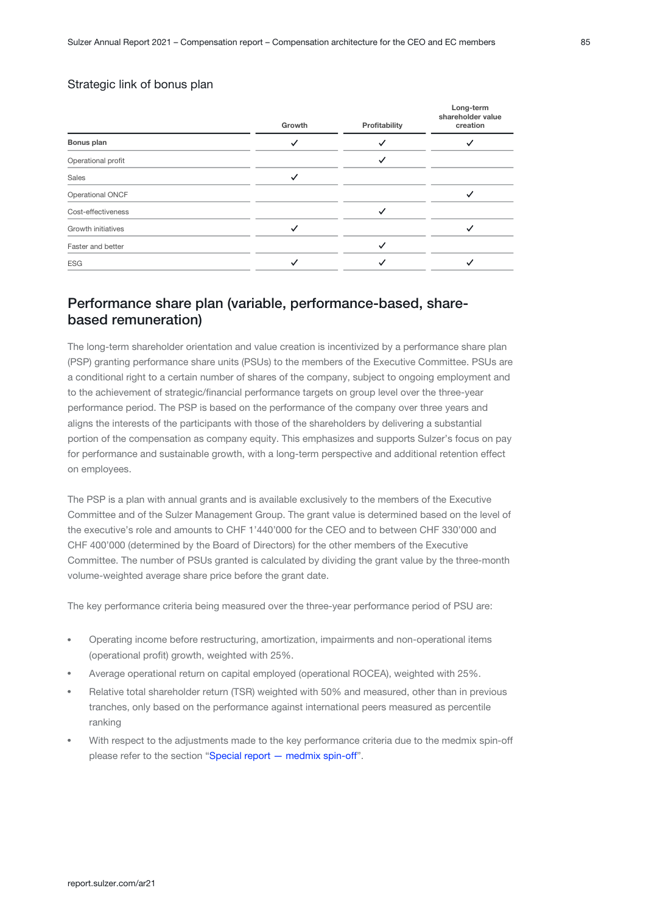#### Strategic link of bonus plan

|                           | Growth | Profitability | Long-term<br>shareholder value<br>creation |
|---------------------------|--------|---------------|--------------------------------------------|
| Bonus plan                |        |               |                                            |
| Operational profit        |        |               |                                            |
| Sales                     |        |               |                                            |
| Operational ONCF          |        |               |                                            |
| Cost-effectiveness        |        |               |                                            |
| <b>Growth initiatives</b> |        |               |                                            |
| Faster and better         |        |               |                                            |
| <b>ESG</b>                |        |               |                                            |
|                           |        |               |                                            |

## Performance share plan (variable, performance-based, sharebased remuneration)

The long-term shareholder orientation and value creation is incentivized by a performance share plan (PSP) granting performance share units (PSUs) to the members of the Executive Committee. PSUs are a conditional right to a certain number of shares of the company, subject to ongoing employment and to the achievement of strategic/financial performance targets on group level over the three-year performance period. The PSP is based on the performance of the company over three years and aligns the interests of the participants with those of the shareholders by delivering a substantial portion of the compensation as company equity. This emphasizes and supports Sulzer's focus on pay for performance and sustainable growth, with a long-term perspective and additional retention effect on employees.

The PSP is a plan with annual grants and is available exclusively to the members of the Executive Committee and of the Sulzer Management Group. The grant value is determined based on the level of the executive's role and amounts to CHF 1'440'000 for the CEO and to between CHF 330'000 and CHF 400'000 (determined by the Board of Directors) for the other members of the Executive Committee. The number of PSUs granted is calculated by dividing the grant value by the three-month volume-weighted average share price before the grant date.

The key performance criteria being measured over the three-year performance period of PSU are:

- Operating income before restructuring, amortization, impairments and non-operational items (operational profit) growth, weighted with 25%.
- Average operational return on capital employed (operational ROCEA), weighted with 25%.
- Relative total shareholder return (TSR) weighted with 50% and measured, other than in previous tranches, only based on the performance against international peers measured as percentile ranking
- With respect to the adjustments made to the key performance criteria due to the medmix spin-off please refer to the section ["Special report — medmix spin-off"](#page-4-0).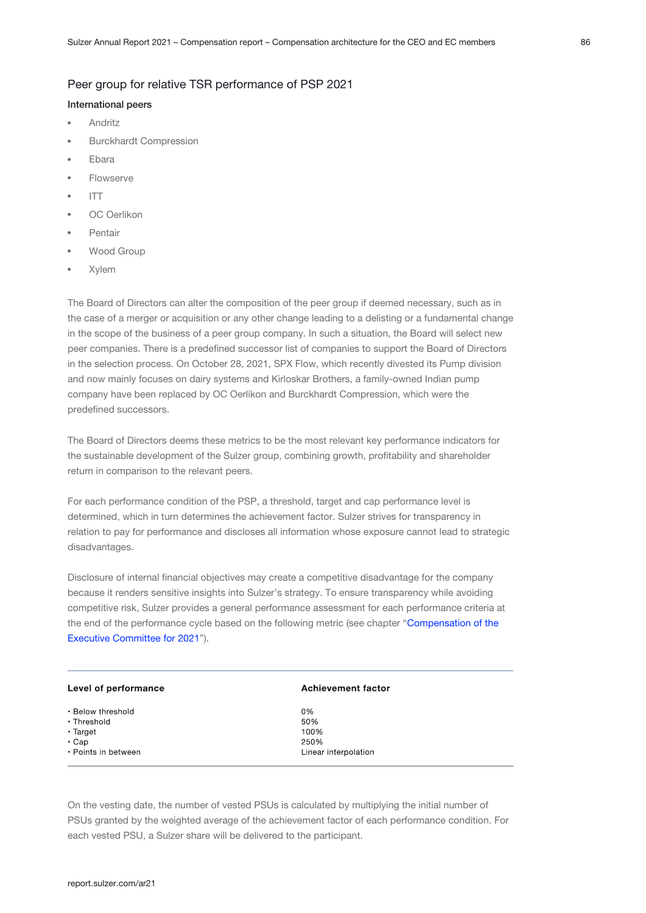#### Peer group for relative TSR performance of PSP 2021

#### International peers

- Andritz
- Burckhardt Compression
- Ebara
- Flowserve
- ITT
- OC Oerlikon
- Pentair
- Wood Group
- Xylem

The Board of Directors can alter the composition of the peer group if deemed necessary, such as in the case of a merger or acquisition or any other change leading to a delisting or a fundamental change in the scope of the business of a peer group company. In such a situation, the Board will select new peer companies. There is a predefined successor list of companies to support the Board of Directors in the selection process. On October 28, 2021, SPX Flow, which recently divested its Pump division and now mainly focuses on dairy systems and Kirloskar Brothers, a family-owned Indian pump company have been replaced by OC Oerlikon and Burckhardt Compression, which were the predefined successors.

The Board of Directors deems these metrics to be the most relevant key performance indicators for the sustainable development of the Sulzer group, combining growth, profitability and shareholder return in comparison to the relevant peers.

For each performance condition of the PSP, a threshold, target and cap performance level is determined, which in turn determines the achievement factor. Sulzer strives for transparency in relation to pay for performance and discloses all information whose exposure cannot lead to strategic disadvantages.

Disclosure of internal financial objectives may create a competitive disadvantage for the company because it renders sensitive insights into Sulzer's strategy. To ensure transparency while avoiding competitive risk, Sulzer provides a general performance assessment for each performance criteria at the end of the performance cycle based on the following metric (see chapter "Compensation of the [Executive Committee for 2021](#page-19-0)").

| Level of performance | <b>Achievement factor</b> |
|----------------------|---------------------------|
| • Below threshold    | 0%                        |
| • Threshold          | 50%                       |
| $\cdot$ Target       | 100%                      |
| $\cdot$ Cap          | 250%                      |
| • Points in between  | Linear interpolation      |

On the vesting date, the number of vested PSUs is calculated by multiplying the initial number of PSUs granted by the weighted average of the achievement factor of each performance condition. For each vested PSU, a Sulzer share will be delivered to the participant.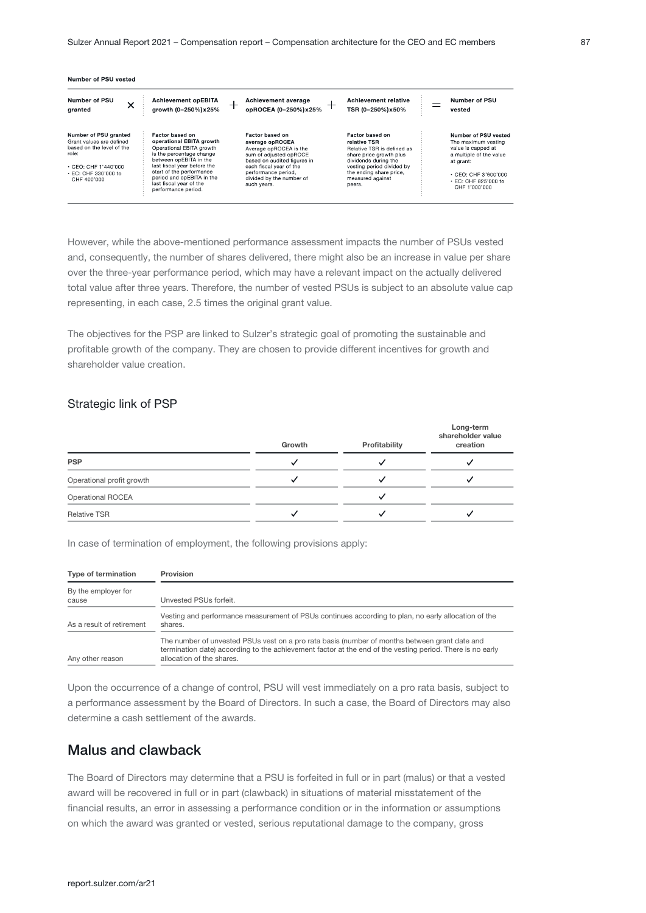| Number of PSU<br>↗<br>granted                                                                                                                                | <b>Achievement opEBITA</b><br>growth (0-250%) x 25%                                                                                                                                                                                                                     | Achievement average<br>opROCEA (0-250%) x 25%                                                                                                                                                                      | <b>Achievement relative</b><br>TSR (0-250%) x50%                                                                                                                                                       | Number of PSU<br>vested                                                                                                                                                      |
|--------------------------------------------------------------------------------------------------------------------------------------------------------------|-------------------------------------------------------------------------------------------------------------------------------------------------------------------------------------------------------------------------------------------------------------------------|--------------------------------------------------------------------------------------------------------------------------------------------------------------------------------------------------------------------|--------------------------------------------------------------------------------------------------------------------------------------------------------------------------------------------------------|------------------------------------------------------------------------------------------------------------------------------------------------------------------------------|
| Number of PSU granted<br>Grant values are defined<br>based on the level of the<br>role:<br>$\cdot$ CEO: CHF 1'440'000<br>• EC: CHF 330'000 to<br>CHF 400'000 | Factor based on<br>operational EBITA growth<br>Operational EBITA growth<br>is the percentage change<br>between opEBITA in the<br>last fiscal year before the<br>start of the performance<br>period and opEBITA in the<br>last fiscal year of the<br>performance period. | Factor based on<br>average opROCEA<br>Average opROCEA is the<br>sum of adiusted opROCE<br>based on audited figures in<br>each fiscal vear of the<br>performance period.<br>divided by the number of<br>such vears. | Factor based on<br>relative TSR<br>Relative TSR is defined as<br>share price growth plus<br>dividends during the<br>vesting period divided by<br>the ending share price.<br>measured against<br>peers. | Number of PSU vested<br>The maximum vesting<br>value is capped at<br>a multiple of the value<br>at grant:<br>$+$ CEO: CHE 3'600'000<br>• EC: CHF 825'000 to<br>CHE 1'000'000 |

However, while the above-mentioned performance assessment impacts the number of PSUs vested and, consequently, the number of shares delivered, there might also be an increase in value per share over the three-year performance period, which may have a relevant impact on the actually delivered total value after three years. Therefore, the number of vested PSUs is subject to an absolute value cap representing, in each case, 2.5 times the original grant value.

The objectives for the PSP are linked to Sulzer's strategic goal of promoting the sustainable and profitable growth of the company. They are chosen to provide different incentives for growth and shareholder value creation.

#### Strategic link of PSP

|                           | Growth | Profitability | Long-term<br>shareholder value<br>creation |
|---------------------------|--------|---------------|--------------------------------------------|
| <b>PSP</b>                |        |               |                                            |
| Operational profit growth |        |               |                                            |
| <b>Operational ROCEA</b>  |        |               |                                            |
| <b>Relative TSR</b>       |        |               |                                            |

In case of termination of employment, the following provisions apply:

| Type of termination          | Provision                                                                                                                                                                                                                               |
|------------------------------|-----------------------------------------------------------------------------------------------------------------------------------------------------------------------------------------------------------------------------------------|
| By the employer for<br>cause | Unvested PSUs forfeit.                                                                                                                                                                                                                  |
| As a result of retirement    | Vesting and performance measurement of PSUs continues according to plan, no early allocation of the<br>shares.                                                                                                                          |
| Any other reason             | The number of unvested PSUs vest on a pro rata basis (number of months between grant date and<br>termination date) according to the achievement factor at the end of the vesting period. There is no early<br>allocation of the shares. |

Upon the occurrence of a change of control, PSU will vest immediately on a pro rata basis, subject to a performance assessment by the Board of Directors. In such a case, the Board of Directors may also determine a cash settlement of the awards.

## Malus and clawback

The Board of Directors may determine that a PSU is forfeited in full or in part (malus) or that a vested award will be recovered in full or in part (clawback) in situations of material misstatement of the financial results, an error in assessing a performance condition or in the information or assumptions on which the award was granted or vested, serious reputational damage to the company, gross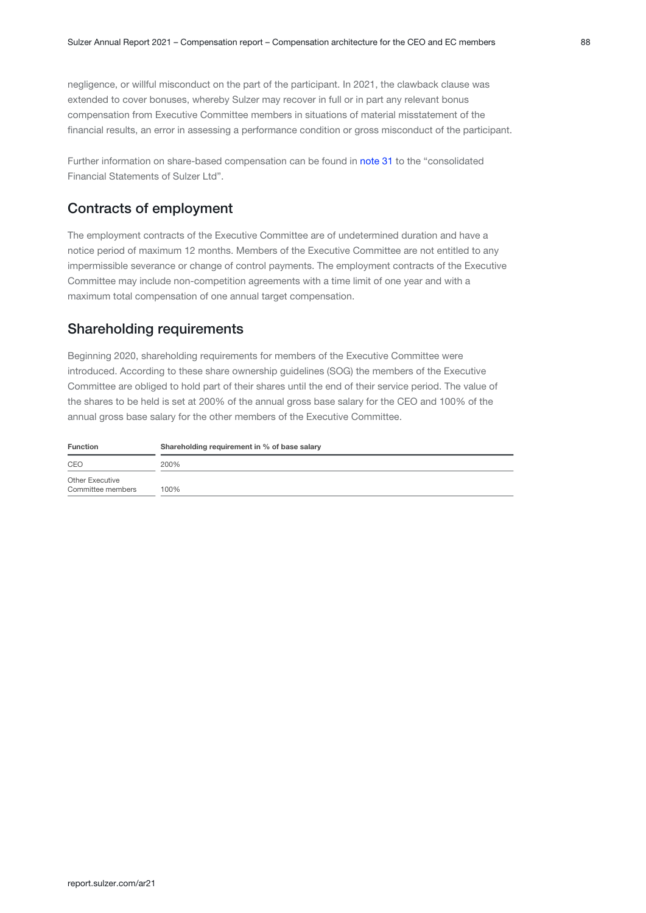negligence, or willful misconduct on the part of the participant. In 2021, the clawback clause was extended to cover bonuses, whereby Sulzer may recover in full or in part any relevant bonus compensation from Executive Committee members in situations of material misstatement of the financial results, an error in assessing a performance condition or gross misconduct of the participant.

Further information on share-based compensation can be found in note 31 to the "consolidated Financial Statements of Sulzer Ltd".

## Contracts of employment

The employment contracts of the Executive Committee are of undetermined duration and have a notice period of maximum 12 months. Members of the Executive Committee are not entitled to any impermissible severance or change of control payments. The employment contracts of the Executive Committee may include non-competition agreements with a time limit of one year and with a maximum total compensation of one annual target compensation.

## Shareholding requirements

Beginning 2020, shareholding requirements for members of the Executive Committee were introduced. According to these share ownership guidelines (SOG) the members of the Executive Committee are obliged to hold part of their shares until the end of their service period. The value of the shares to be held is set at 200% of the annual gross base salary for the CEO and 100% of the annual gross base salary for the other members of the Executive Committee.

| <b>Function</b>                      | Shareholding requirement in % of base salary |  |  |  |  |  |
|--------------------------------------|----------------------------------------------|--|--|--|--|--|
| CEO                                  | 200%                                         |  |  |  |  |  |
| Other Executive<br>Committee members | 100%                                         |  |  |  |  |  |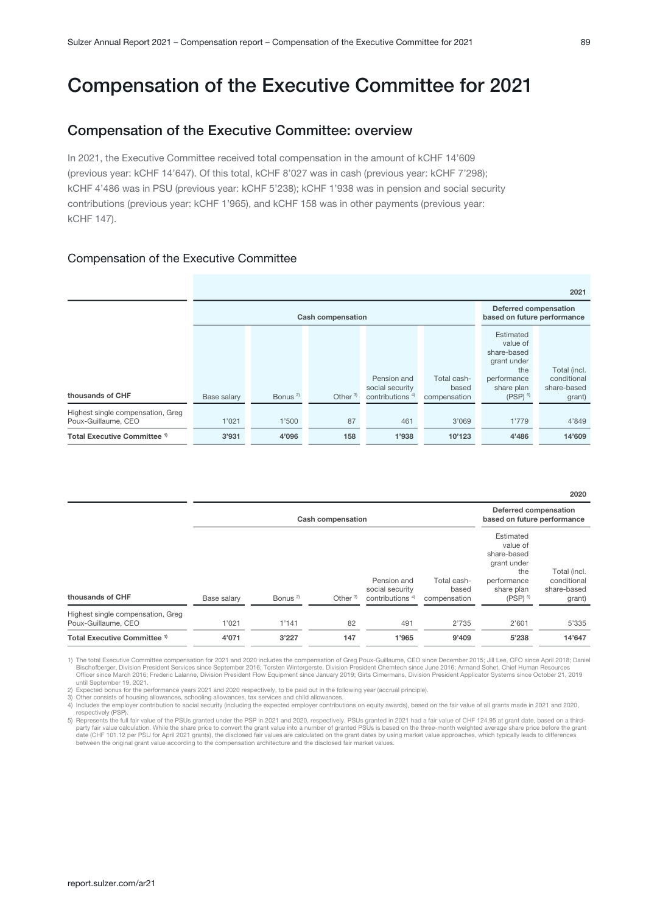# <span id="page-19-0"></span>Compensation of the Executive Committee for 2021

### Compensation of the Executive Committee: overview

In 2021, the Executive Committee received total compensation in the amount of kCHF 14'609 (previous year: kCHF 14'647). Of this total, kCHF 8'027 was in cash (previous year: kCHF 7'298); kCHF 4'486 was in PSU (previous year: kCHF 5'238); kCHF 1'938 was in pension and social security contributions (previous year: kCHF 1'965), and kCHF 158 was in other payments (previous year: kCHF 147).

#### Compensation of the Executive Committee

|                                                          |             |                          |                                                             |                                                               |                                      |                                                                                                                  | 2021                                                 |
|----------------------------------------------------------|-------------|--------------------------|-------------------------------------------------------------|---------------------------------------------------------------|--------------------------------------|------------------------------------------------------------------------------------------------------------------|------------------------------------------------------|
|                                                          |             | <b>Cash compensation</b> | <b>Deferred compensation</b><br>based on future performance |                                                               |                                      |                                                                                                                  |                                                      |
| thousands of CHF                                         | Base salary | Bonus <sup>2)</sup>      | Other $3$                                                   | Pension and<br>social security<br>contributions <sup>4)</sup> | Total cash-<br>based<br>compensation | Estimated<br>value of<br>share-based<br>grant under<br>the<br>performance<br>share plan<br>$(PSP)$ <sup>5)</sup> | Total (incl.<br>conditional<br>share-based<br>grant) |
| Highest single compensation, Greg<br>Poux-Guillaume, CEO | 1'021       | 1'500                    | 87                                                          | 461                                                           | 3'069                                | 1'779                                                                                                            | 4'849                                                |
| Total Executive Committee <sup>1)</sup>                  | 3'931       | 4'096                    | 158                                                         | 1'938                                                         | 10'123                               | 4'486                                                                                                            | 14'609                                               |

2020

|                                                          |             |                     | <b>Cash compensation</b> |                                                               |                                      | Deferred compensation<br>based on future performance                                                             |                                                      |
|----------------------------------------------------------|-------------|---------------------|--------------------------|---------------------------------------------------------------|--------------------------------------|------------------------------------------------------------------------------------------------------------------|------------------------------------------------------|
| thousands of CHF                                         | Base salary | Bonus <sup>2)</sup> | Other <sup>3)</sup>      | Pension and<br>social security<br>contributions <sup>4)</sup> | Total cash-<br>based<br>compensation | Estimated<br>value of<br>share-based<br>grant under<br>the<br>performance<br>share plan<br>$(PSP)$ <sup>5)</sup> | Total (incl.<br>conditional<br>share-based<br>grant) |
| Highest single compensation, Greg<br>Poux-Guillaume, CEO | 1'021       | 1'141               | 82                       | 491                                                           | 2'735                                | 2'601                                                                                                            | 5'335                                                |
| Total Executive Committee <sup>1)</sup>                  | 4'071       | 3'227               | 147                      | 1'965                                                         | 9'409                                | 5'238                                                                                                            | 14'647                                               |
|                                                          |             |                     |                          |                                                               |                                      |                                                                                                                  |                                                      |

1) The total Executive Committee compensation for 2021 and 2020 includes the compensation of Greg Poux-Guillaume, CEO since December 2015; Jill Lee, CFO since April 2018; Daniel Bischofberger, Division President Services since September 2016; Torsten Wintergerste, Division President Chemtech since June 2016; Armand Sohet, Chief Human Resources<br>Officer since March 2016; Frederic Lalanne, Division P

2) Expected bonus for the performance years 2021 and 2020 respectively, to be paid out in the following year (accrual principle).<br>3) Other consists of housing allowances, schooling allowances, tax services and child allowa

4) Includes the employer contribution to social security (including the expected employer contributions on equity awards), based on the fair value of all grants made in 2021 and 2020, respectively (PSP).

5) Represents the full fair value of the PSUs granted under the PSP in 2021 and 2020, respectively. PSUs granted in 2021 had a fair value of CHF 124.95 at grant date, based on a third-<br>party fair value calculation. While t date (CHF 101.12 per PSU for April 2021 grants), the disclosed fair values are calculated on the grant dates by using market value approaches, which typically leads to differences between the original grant value according to the compensation architecture and the disclosed fair market values.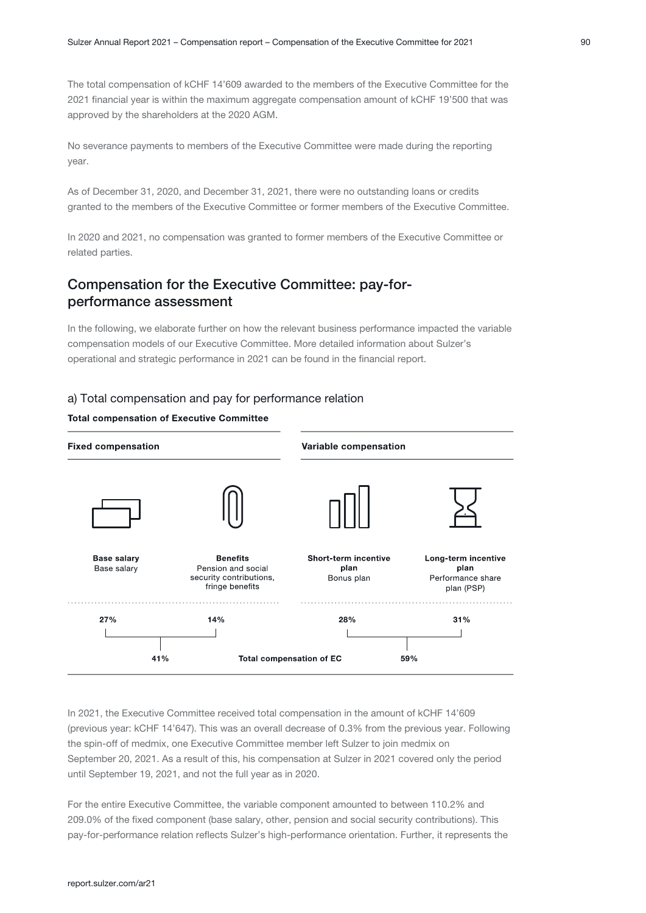The total compensation of kCHF 14'609 awarded to the members of the Executive Committee for the 2021 financial year is within the maximum aggregate compensation amount of kCHF 19'500 that was approved by the shareholders at the 2020 AGM.

No severance payments to members of the Executive Committee were made during the reporting year.

As of December 31, 2020, and December 31, 2021, there were no outstanding loans or credits granted to the members of the Executive Committee or former members of the Executive Committee.

In 2020 and 2021, no compensation was granted to former members of the Executive Committee or related parties.

## Compensation for the Executive Committee: pay-forperformance assessment

In the following, we elaborate further on how the relevant business performance impacted the variable compensation models of our Executive Committee. More detailed information about Sulzer's operational and strategic performance in 2021 can be found in the financial report.

#### a) Total compensation and pay for performance relation

#### **Total compensation of Executive Committee**



In 2021, the Executive Committee received total compensation in the amount of kCHF 14'609 (previous year: kCHF 14'647). This was an overall decrease of 0.3% from the previous year. Following the spin-off of medmix, one Executive Committee member left Sulzer to join medmix on September 20, 2021. As a result of this, his compensation at Sulzer in 2021 covered only the period until September 19, 2021, and not the full year as in 2020.

For the entire Executive Committee, the variable component amounted to between 110.2% and 209.0% of the fixed component (base salary, other, pension and social security contributions). This pay-for-performance relation reflects Sulzer's high-performance orientation. Further, it represents the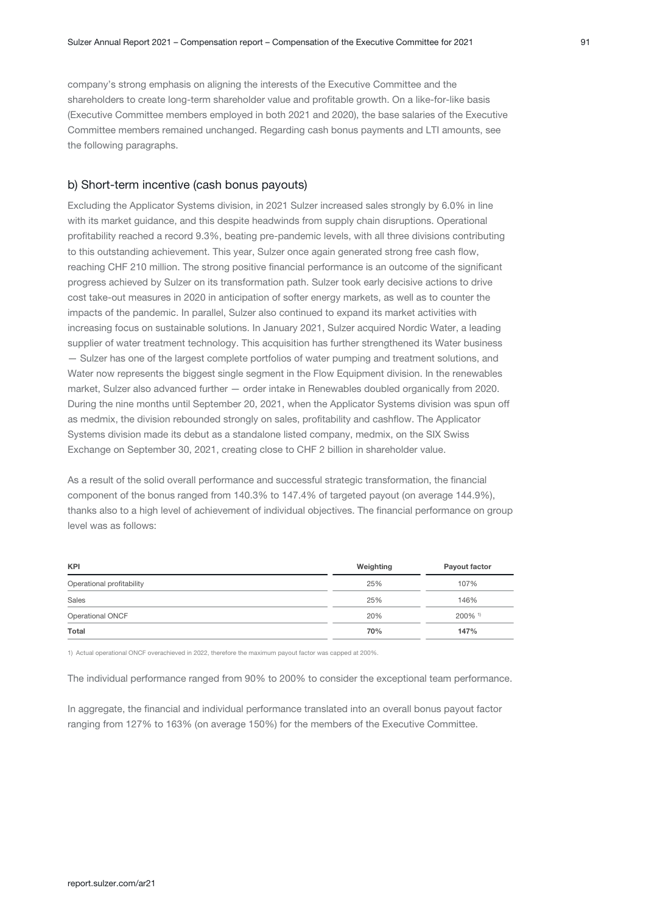company's strong emphasis on aligning the interests of the Executive Committee and the shareholders to create long-term shareholder value and profitable growth. On a like-for-like basis (Executive Committee members employed in both 2021 and 2020), the base salaries of the Executive Committee members remained unchanged. Regarding cash bonus payments and LTI amounts, see the following paragraphs.

#### b) Short-term incentive (cash bonus payouts)

Excluding the Applicator Systems division, in 2021 Sulzer increased sales strongly by 6.0% in line with its market guidance, and this despite headwinds from supply chain disruptions. Operational profitability reached a record 9.3%, beating pre-pandemic levels, with all three divisions contributing to this outstanding achievement. This year, Sulzer once again generated strong free cash flow, reaching CHF 210 million. The strong positive financial performance is an outcome of the significant progress achieved by Sulzer on its transformation path. Sulzer took early decisive actions to drive cost take-out measures in 2020 in anticipation of softer energy markets, as well as to counter the impacts of the pandemic. In parallel, Sulzer also continued to expand its market activities with increasing focus on sustainable solutions. In January 2021, Sulzer acquired Nordic Water, a leading supplier of water treatment technology. This acquisition has further strengthened its Water business — Sulzer has one of the largest complete portfolios of water pumping and treatment solutions, and Water now represents the biggest single segment in the Flow Equipment division. In the renewables market, Sulzer also advanced further — order intake in Renewables doubled organically from 2020. During the nine months until September 20, 2021, when the Applicator Systems division was spun off as medmix, the division rebounded strongly on sales, profitability and cashflow. The Applicator Systems division made its debut as a standalone listed company, medmix, on the SIX Swiss Exchange on September 30, 2021, creating close to CHF 2 billion in shareholder value.

As a result of the solid overall performance and successful strategic transformation, the financial component of the bonus ranged from 140.3% to 147.4% of targeted payout (on average 144.9%), thanks also to a high level of achievement of individual objectives. The financial performance on group level was as follows:

| <b>KPI</b>                | Weighting | Payout factor         |
|---------------------------|-----------|-----------------------|
| Operational profitability | 25%       | 107%                  |
| Sales                     | 25%       | 146%                  |
| Operational ONCF          | 20%       | $200\%$ <sup>1)</sup> |
| Total                     | 70%       | 147%                  |

1) Actual operational ONCF overachieved in 2022, therefore the maximum payout factor was capped at 200%.

The individual performance ranged from 90% to 200% to consider the exceptional team performance.

In aggregate, the financial and individual performance translated into an overall bonus payout factor ranging from 127% to 163% (on average 150%) for the members of the Executive Committee.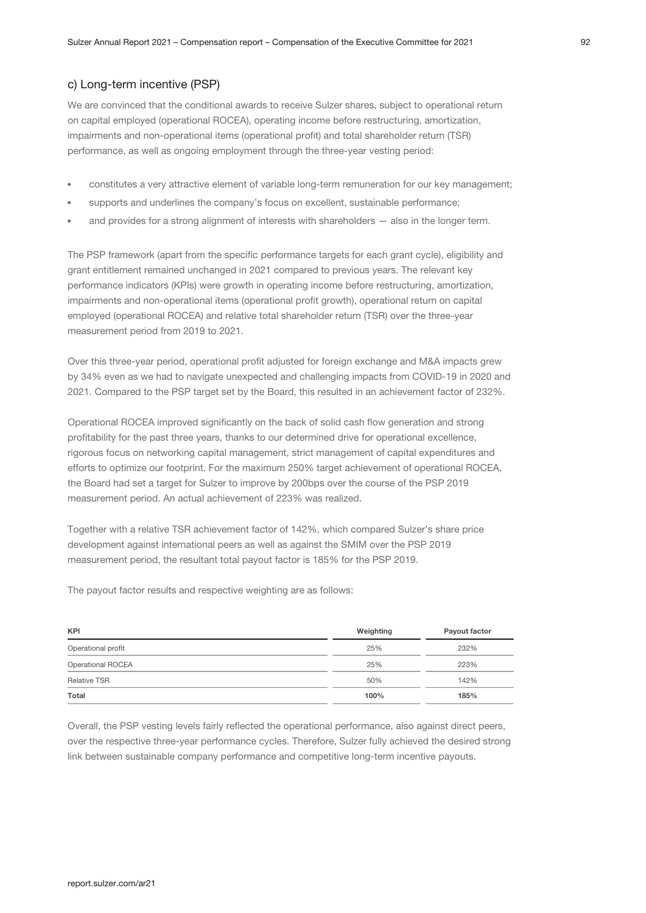#### c) Long-term incentive (PSP)

We are convinced that the conditional awards to receive Sulzer shares, subject to operational return on capital employed (operational ROCEA), operating income before restructuring, amortization, impairments and non-operational items (operational profit) and total shareholder return (TSR) performance, as well as ongoing employment through the three-year vesting period:

- constitutes a very attractive element of variable long-term remuneration for our key management;
- supports and underlines the company's focus on excellent, sustainable performance;
- and provides for a strong alignment of interests with shareholders also in the longer term.

The PSP framework (apart from the specific performance targets for each grant cycle), eligibility and grant entitlement remained unchanged in 2021 compared to previous years. The relevant key performance indicators (KPIs) were growth in operating income before restructuring, amortization, impairments and non-operational items (operational profit growth), operational return on capital employed (operational ROCEA) and relative total shareholder return (TSR) over the three-year measurement period from 2019 to 2021.

Over this three-year period, operational profit adjusted for foreign exchange and M&A impacts grew by 34% even as we had to navigate unexpected and challenging impacts from COVID-19 in 2020 and 2021. Compared to the PSP target set by the Board, this resulted in an achievement factor of 232%.

Operational ROCEA improved significantly on the back of solid cash flow generation and strong profitability for the past three years, thanks to our determined drive for operational excellence, rigorous focus on networking capital management, strict management of capital expenditures and efforts to optimize our footprint. For the maximum 250% target achievement of operational ROCEA, the Board had set a target for Sulzer to improve by 200bps over the course of the PSP 2019 measurement period. An actual achievement of 223% was realized.

Together with a relative TSR achievement factor of 142%, which compared Sulzer's share price development against international peers as well as against the SMIM over the PSP 2019 measurement period, the resultant total payout factor is 185% for the PSP 2019.

The payout factor results and respective weighting are as follows:

| <b>KPI</b>               | Weighting | Payout factor |
|--------------------------|-----------|---------------|
| Operational profit       | 25%       | 232%          |
| <b>Operational ROCEA</b> | 25%       | 223%          |
| <b>Relative TSR</b>      | 50%       | 142%          |
| Total                    | 100%      | 185%          |

Overall, the PSP vesting levels fairly reflected the operational performance, also against direct peers, over the respective three-year performance cycles. Therefore, Sulzer fully achieved the desired strong link between sustainable company performance and competitive long-term incentive payouts.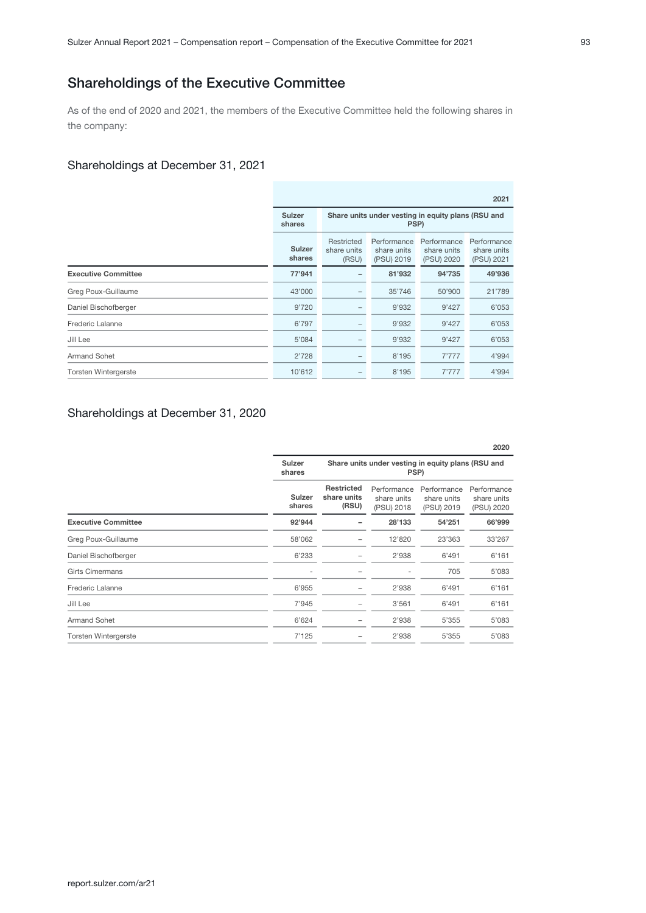## Shareholdings of the Executive Committee

As of the end of 2020 and 2021, the members of the Executive Committee held the following shares in the company:

#### Shareholdings at December 31, 2021

|                             |                         |                                                            |                                          |                                          | 2021                                     |
|-----------------------------|-------------------------|------------------------------------------------------------|------------------------------------------|------------------------------------------|------------------------------------------|
|                             | Sulzer<br>shares        | Share units under vesting in equity plans (RSU and<br>PSP) |                                          |                                          |                                          |
|                             | <b>Sulzer</b><br>shares | Restricted<br>share units<br>(RSU)                         | Performance<br>share units<br>(PSU) 2019 | Performance<br>share units<br>(PSU) 2020 | Performance<br>share units<br>(PSU) 2021 |
| <b>Executive Committee</b>  | 77'941                  |                                                            | 81'932                                   | 94'735                                   | 49'936                                   |
| Greg Poux-Guillaume         | 43'000                  |                                                            | 35'746                                   | 50'900                                   | 21'789                                   |
| Daniel Bischofberger        | 9'720                   |                                                            | 9'932                                    | 9'427                                    | 6'053                                    |
| <b>Frederic Lalanne</b>     | 6'797                   |                                                            | 9'932                                    | 9'427                                    | 6'053                                    |
| Jill Lee                    | 5'084                   |                                                            | 9'932                                    | 9'427                                    | 6'053                                    |
| <b>Armand Sohet</b>         | 2'728                   |                                                            | 8'195                                    | 7'777                                    | 4'994                                    |
| <b>Torsten Wintergerste</b> | 10'612                  |                                                            | 8'195                                    | 7'777                                    | 4'994                                    |

#### Shareholdings at December 31, 2020

|                  |                                                            |                                          |                                          | 2020                                     |
|------------------|------------------------------------------------------------|------------------------------------------|------------------------------------------|------------------------------------------|
| Sulzer<br>shares | Share units under vesting in equity plans (RSU and<br>PSP) |                                          |                                          |                                          |
| Sulzer<br>shares | <b>Restricted</b><br>share units<br>(RSU)                  | Performance<br>share units<br>(PSU) 2018 | Performance<br>share units<br>(PSU) 2019 | Performance<br>share units<br>(PSU) 2020 |
| 92'944           |                                                            | 28'133                                   | 54'251                                   | 66'999                                   |
| 58'062           |                                                            | 12'820                                   | 23'363                                   | 33'267                                   |
| 6'233            |                                                            | 2'938                                    | 6'491                                    | 6'161                                    |
|                  |                                                            |                                          | 705                                      | 5'083                                    |
| 6'955            |                                                            | 2'938                                    | 6'491                                    | 6'161                                    |
| 7'945            |                                                            | 3'561                                    | 6'491                                    | 6'161                                    |
| 6'624            | -                                                          | 2'938                                    | 5'355                                    | 5'083                                    |
| 7'125            |                                                            | 2'938                                    | 5'355                                    | 5'083                                    |
|                  |                                                            |                                          |                                          |                                          |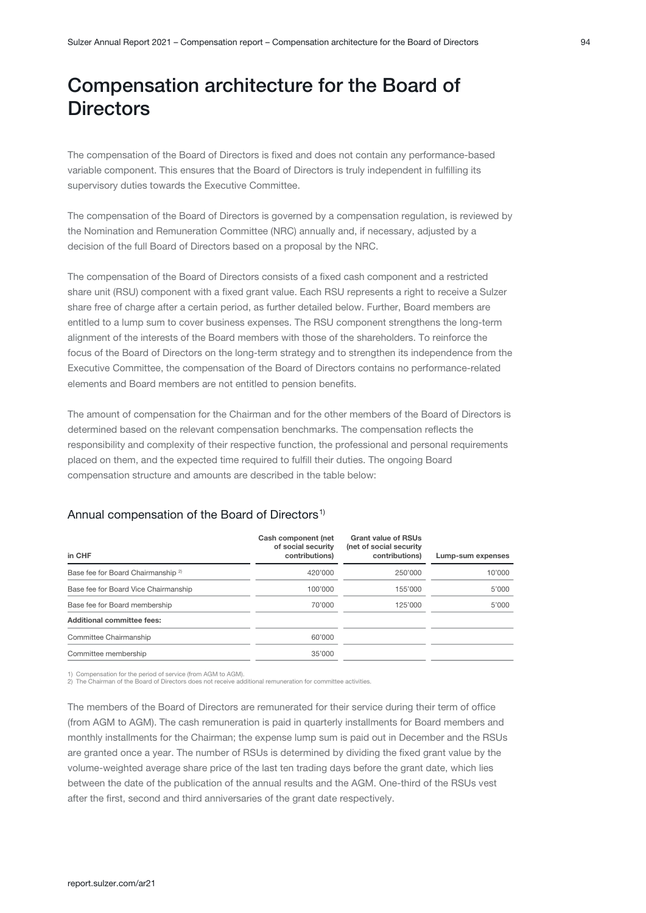# <span id="page-24-0"></span>Compensation architecture for the Board of **Directors**

The compensation of the Board of Directors is fixed and does not contain any performance-based variable component. This ensures that the Board of Directors is truly independent in fulfilling its supervisory duties towards the Executive Committee.

The compensation of the Board of Directors is governed by a compensation regulation, is reviewed by the Nomination and Remuneration Committee (NRC) annually and, if necessary, adjusted by a decision of the full Board of Directors based on a proposal by the NRC.

The compensation of the Board of Directors consists of a fixed cash component and a restricted share unit (RSU) component with a fixed grant value. Each RSU represents a right to receive a Sulzer share free of charge after a certain period, as further detailed below. Further, Board members are entitled to a lump sum to cover business expenses. The RSU component strengthens the long-term alignment of the interests of the Board members with those of the shareholders. To reinforce the focus of the Board of Directors on the long-term strategy and to strengthen its independence from the Executive Committee, the compensation of the Board of Directors contains no performance-related elements and Board members are not entitled to pension benefits.

The amount of compensation for the Chairman and for the other members of the Board of Directors is determined based on the relevant compensation benchmarks. The compensation reflects the responsibility and complexity of their respective function, the professional and personal requirements placed on them, and the expected time required to fulfill their duties. The ongoing Board compensation structure and amounts are described in the table below:

| in CHF                                        | Cash component (net<br>of social security<br>contributions) | <b>Grant value of RSUs</b><br>(net of social security<br>contributions) | Lump-sum expenses |
|-----------------------------------------------|-------------------------------------------------------------|-------------------------------------------------------------------------|-------------------|
| Base fee for Board Chairmanship <sup>2)</sup> | 420'000                                                     | 250'000                                                                 | 10'000            |
| Base fee for Board Vice Chairmanship          | 100'000                                                     | 155'000                                                                 | 5'000             |
| Base fee for Board membership                 | 70'000                                                      | 125'000                                                                 | 5'000             |
| Additional committee fees:                    |                                                             |                                                                         |                   |
| Committee Chairmanship                        | 60'000                                                      |                                                                         |                   |
| Committee membership                          | 35'000                                                      |                                                                         |                   |

#### Annual compensation of the Board of Directors<sup>1)</sup>

1) Compensation for the period of service (from AGM to AGM). 2) The Chairman of the Board of Directors does not receive additional remuneration for committee activities.

The members of the Board of Directors are remunerated for their service during their term of office (from AGM to AGM). The cash remuneration is paid in quarterly installments for Board members and monthly installments for the Chairman; the expense lump sum is paid out in December and the RSUs are granted once a year. The number of RSUs is determined by dividing the fixed grant value by the volume-weighted average share price of the last ten trading days before the grant date, which lies between the date of the publication of the annual results and the AGM. One-third of the RSUs vest after the first, second and third anniversaries of the grant date respectively.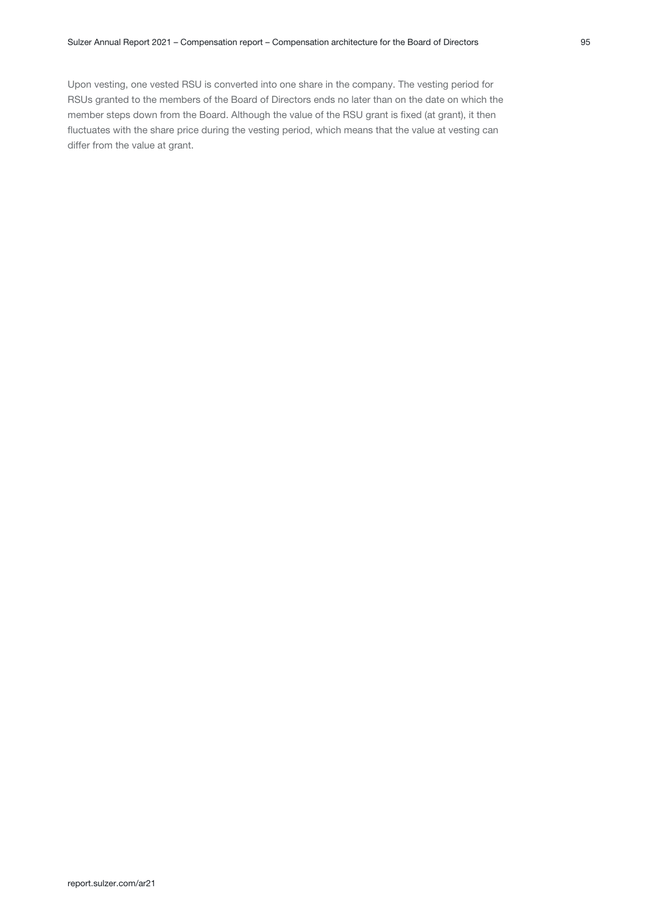Upon vesting, one vested RSU is converted into one share in the company. The vesting period for RSUs granted to the members of the Board of Directors ends no later than on the date on which the member steps down from the Board. Although the value of the RSU grant is fixed (at grant), it then fluctuates with the share price during the vesting period, which means that the value at vesting can differ from the value at grant.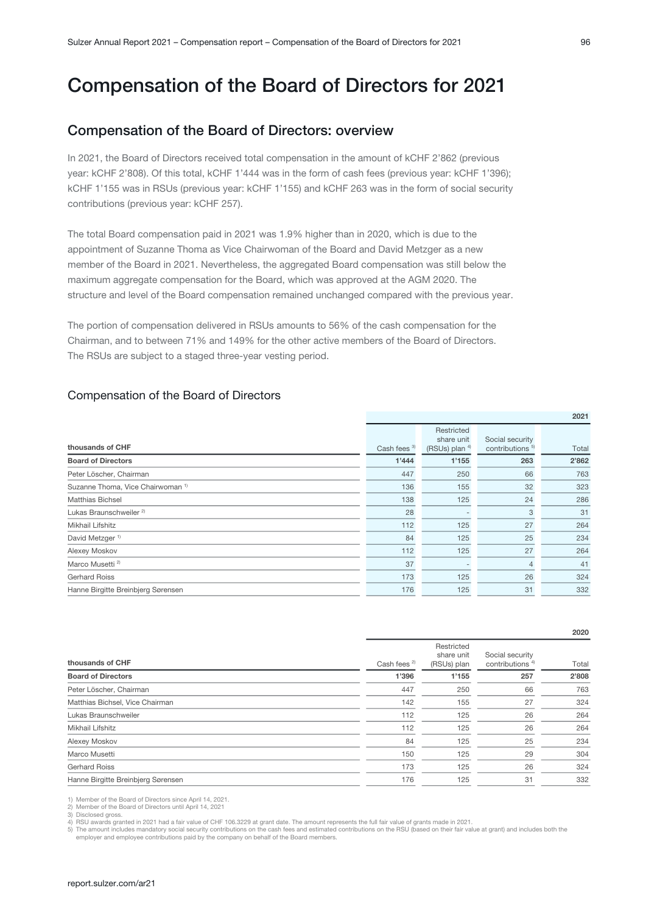# <span id="page-26-0"></span>Compensation of the Board of Directors for 2021

## Compensation of the Board of Directors: overview

In 2021, the Board of Directors received total compensation in the amount of kCHF 2'862 (previous year: kCHF 2'808). Of this total, kCHF 1'444 was in the form of cash fees (previous year: kCHF 1'396); kCHF 1'155 was in RSUs (previous year: kCHF 1'155) and kCHF 263 was in the form of social security contributions (previous year: kCHF 257).

The total Board compensation paid in 2021 was 1.9% higher than in 2020, which is due to the appointment of Suzanne Thoma as Vice Chairwoman of the Board and David Metzger as a new member of the Board in 2021. Nevertheless, the aggregated Board compensation was still below the maximum aggregate compensation for the Board, which was approved at the AGM 2020. The structure and level of the Board compensation remained unchanged compared with the previous year.

The portion of compensation delivered in RSUs amounts to 56% of the cash compensation for the Chairman, and to between 71% and 149% for the other active members of the Board of Directors. The RSUs are subject to a staged three-year vesting period.

#### Compensation of the Board of Directors

|                                              |                         |                                               |                                                | ---   |
|----------------------------------------------|-------------------------|-----------------------------------------------|------------------------------------------------|-------|
| thousands of CHF                             | Cash fees <sup>3)</sup> | Restricted<br>share unit<br>(RSUs) plan $4$ ) | Social security<br>contributions <sup>5)</sup> | Total |
| <b>Board of Directors</b>                    | 1'444                   | 1'155                                         | 263                                            | 2'862 |
| Peter Löscher, Chairman                      | 447                     | 250                                           | 66                                             | 763   |
| Suzanne Thoma, Vice Chairwoman <sup>1)</sup> | 136                     | 155                                           | 32                                             | 323   |
| <b>Matthias Bichsel</b>                      | 138                     | 125                                           | 24                                             | 286   |
| Lukas Braunschweiler <sup>2)</sup>           | 28                      |                                               | 3                                              | 31    |
| Mikhail Lifshitz                             | 112                     | 125                                           | 27                                             | 264   |
| David Metzger <sup>1)</sup>                  | 84                      | 125                                           | 25                                             | 234   |
| Alexey Moskov                                | 112                     | 125                                           | 27                                             | 264   |
| Marco Musetti <sup>2)</sup>                  | 37                      |                                               | $\overline{4}$                                 | 41    |
| <b>Gerhard Roiss</b>                         | 173                     | 125                                           | 26                                             | 324   |
| Hanne Birgitte Breinbjerg Sørensen           | 176                     | 125                                           | 31                                             | 332   |
|                                              |                         |                                               |                                                |       |

|                                    |                         |                                         |                                                | 2020  |
|------------------------------------|-------------------------|-----------------------------------------|------------------------------------------------|-------|
| thousands of CHF                   | Cash fees <sup>2)</sup> | Restricted<br>share unit<br>(RSUs) plan | Social security<br>contributions <sup>4)</sup> | Total |
| <b>Board of Directors</b>          | 1'396                   | 1'155                                   | 257                                            | 2'808 |
| Peter Löscher, Chairman            | 447                     | 250                                     | 66                                             | 763   |
| Matthias Bichsel, Vice Chairman    | 142                     | 155                                     | 27                                             | 324   |
| Lukas Braunschweiler               | 112                     | 125                                     | 26                                             | 264   |
| Mikhail Lifshitz                   | 112                     | 125                                     | 26                                             | 264   |
| Alexey Moskov                      | 84                      | 125                                     | 25                                             | 234   |
| Marco Musetti                      | 150                     | 125                                     | 29                                             | 304   |
| <b>Gerhard Roiss</b>               | 173                     | 125                                     | 26                                             | 324   |
| Hanne Birgitte Breinbjerg Sørensen | 176                     | 125                                     | 31                                             | 332   |

1) Member of the Board of Directors since April 14, 2021. 2) Member of the Board of Directors until April 14, 2021

3) Disclosed gross.

RSU awards granted in 2021 had a fair value of CHF 106.3229 at grant date. The amount represents the full fair value of grants made in 2021

5) The amount includes mandatory social security contributions on the cash fees and estimated contributions on the RSU (based on their fair value at grant) and includes both the enployer and employee contributions paid by

 $0021$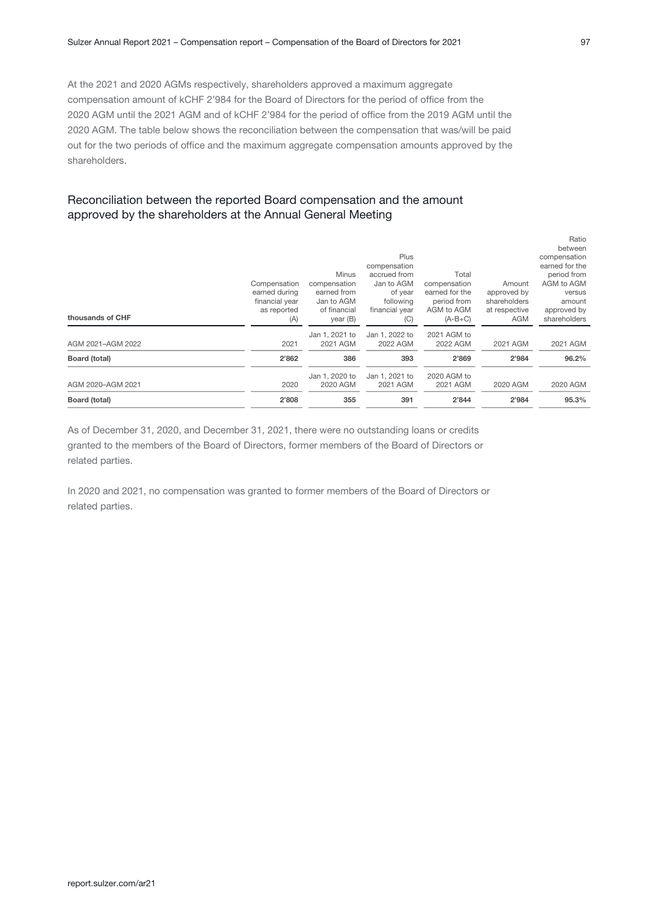At the 2021 and 2020 AGMs respectively, shareholders approved a maximum aggregate compensation amount of kCHF 2'984 for the Board of Directors for the period of office from the 2020 AGM until the 2021 AGM and of kCHF 2'984 for the period of office from the 2019 AGM until the 2020 AGM. The table below shows the reconciliation between the compensation that was/will be paid out for the two periods of office and the maximum aggregate compensation amounts approved by the shareholders.

#### Reconciliation between the reported Board compensation and the amount approved by the shareholders at the Annual General Meeting

As of December 31, 2020, and December 31, 2021, there were no outstanding loans or credits granted to the members of the Board of Directors, former members of the Board of Directors or related parties.

In 2020 and 2021, no compensation was granted to former members of the Board of Directors or related parties.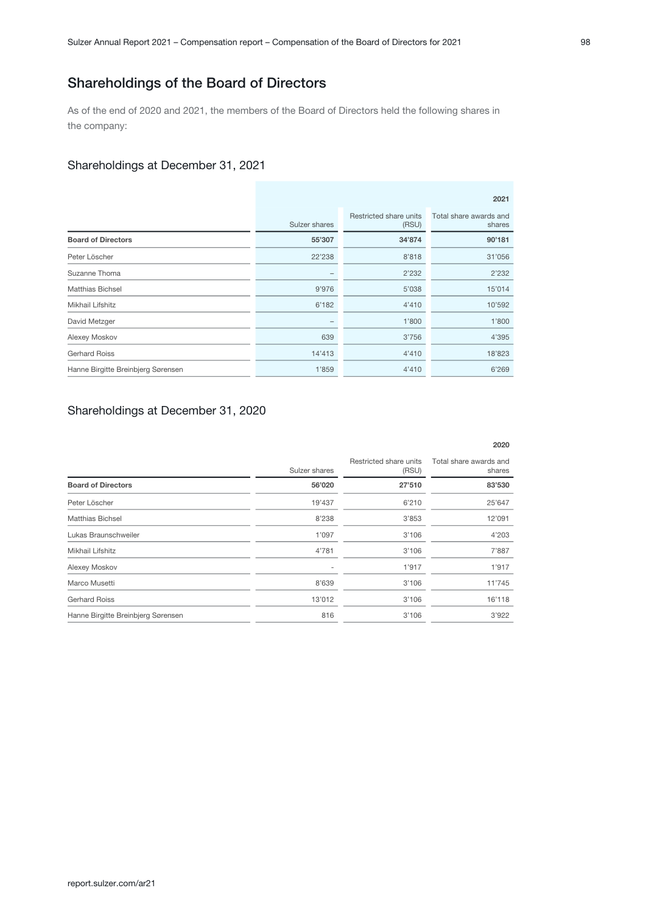## Shareholdings of the Board of Directors

As of the end of 2020 and 2021, the members of the Board of Directors held the following shares in the company:

#### Shareholdings at December 31, 2021

|                                    | 2021          |                                 |                                  |  |
|------------------------------------|---------------|---------------------------------|----------------------------------|--|
|                                    | Sulzer shares | Restricted share units<br>(RSU) | Total share awards and<br>shares |  |
| <b>Board of Directors</b>          | 55'307        | 34'874                          | 90'181                           |  |
| Peter Löscher                      | 22'238        | 8'818                           | 31'056                           |  |
| Suzanne Thoma                      | -             | 2'232                           | 2'232                            |  |
| <b>Matthias Bichsel</b>            | 9'976         | 5'038                           | 15'014                           |  |
| Mikhail Lifshitz                   | 6'182         | 4'410                           | 10'592                           |  |
| David Metzger                      |               | 1'800                           | 1'800                            |  |
| Alexey Moskov                      | 639           | 3'756                           | 4'395                            |  |
| <b>Gerhard Roiss</b>               | 14'413        | 4'410                           | 18'823                           |  |
| Hanne Birgitte Breinbjerg Sørensen | 1'859         | 4'410                           | 6'269                            |  |

### Shareholdings at December 31, 2020

|                                    |               |                                 | 2020                             |
|------------------------------------|---------------|---------------------------------|----------------------------------|
|                                    | Sulzer shares | Restricted share units<br>(RSU) | Total share awards and<br>shares |
| <b>Board of Directors</b>          | 56'020        | 27'510                          | 83'530                           |
| Peter Löscher                      | 19'437        | 6'210                           | 25'647                           |
| <b>Matthias Bichsel</b>            | 8'238         | 3'853                           | 12'091                           |
| Lukas Braunschweiler               | 1'097         | 3'106                           | 4'203                            |
| Mikhail Lifshitz                   | 4'781         | 3'106                           | 7'887                            |
| Alexey Moskov                      | ۰             | 1'917                           | 1'917                            |
| Marco Musetti                      | 8'639         | 3'106                           | 11'745                           |
| <b>Gerhard Roiss</b>               | 13'012        | 3'106                           | 16'118                           |
| Hanne Birgitte Breinbjerg Sørensen | 816           | 3'106                           | 3'922                            |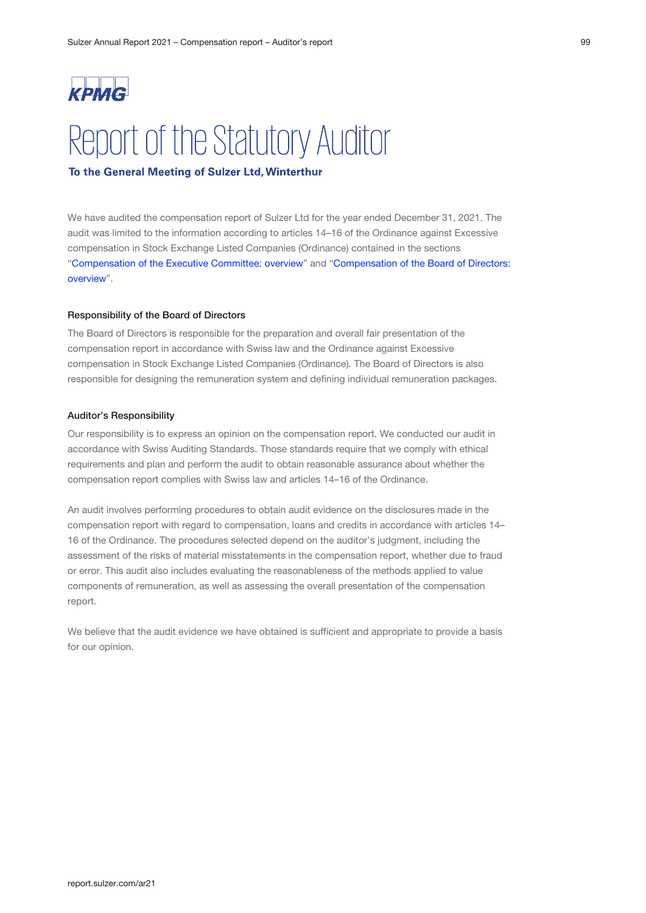# <span id="page-29-0"></span>Report of the Statutory Auditor

#### To the General Meeting of Sulzer Ltd, Winterthur

We have audited the compensation report of Sulzer Ltd for the year ended December 31, 2021. The audit was limited to the information according to articles 14–16 of the Ordinance against Excessive compensation in Stock Exchange Listed Companies (Ordinance) contained in the sections "[Compensation of the Executive Committee: overview](#page-19-0)" and "Compensation of the Board of Directors: [overview](#page-26-0)".

#### Responsibility of the Board of Directors

The Board of Directors is responsible for the preparation and overall fair presentation of the compensation report in accordance with Swiss law and the Ordinance against Excessive compensation in Stock Exchange Listed Companies (Ordinance). The Board of Directors is also responsible for designing the remuneration system and defining individual remuneration packages.

#### Auditor's Responsibility

Our responsibility is to express an opinion on the compensation report. We conducted our audit in accordance with Swiss Auditing Standards. Those standards require that we comply with ethical requirements and plan and perform the audit to obtain reasonable assurance about whether the compensation report complies with Swiss law and articles 14–16 of the Ordinance.

An audit involves performing procedures to obtain audit evidence on the disclosures made in the compensation report with regard to compensation, loans and credits in accordance with articles 14– 16 of the Ordinance. The procedures selected depend on the auditor's judgment, including the assessment of the risks of material misstatements in the compensation report, whether due to fraud or error. This audit also includes evaluating the reasonableness of the methods applied to value components of remuneration, as well as assessing the overall presentation of the compensation report.

We believe that the audit evidence we have obtained is sufficient and appropriate to provide a basis for our opinion.